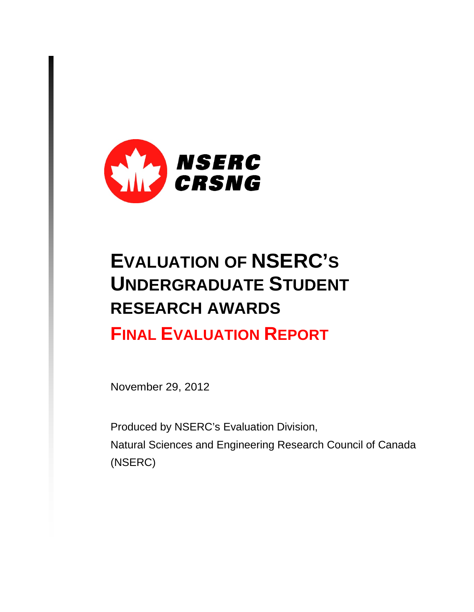

# **EVALUATION OF NSERC'S UNDERGRADUATE STUDENT RESEARCH AWARDS FINAL EVALUATION REPORT**

November 29, 2012

Produced by NSERC's Evaluation Division, Natural Sciences and Engineering Research Council of Canada (NSERC)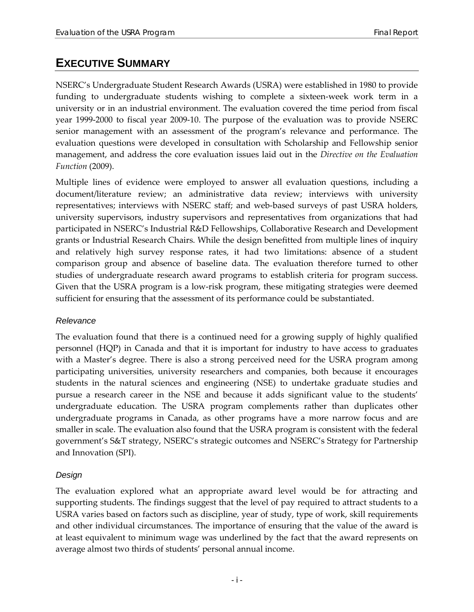## <span id="page-2-0"></span>**EXECUTIVE SUMMARY**

NSERC's Undergraduate Student Research Awards (USRA) were established in 1980 to provide funding to undergraduate students wishing to complete a sixteen-week work term in a university or in an industrial environment. The evaluation covered the time period from fiscal year 1999-2000 to fiscal year 2009-10. The purpose of the evaluation was to provide NSERC senior management with an assessment of the program's relevance and performance. The evaluation questions were developed in consultation with Scholarship and Fellowship senior management, and address the core evaluation issues laid out in the *Directive on the Evaluation Function* (2009).

Multiple lines of evidence were employed to answer all evaluation questions, including a document/literature review; an administrative data review; interviews with university representatives; interviews with NSERC staff; and web-based surveys of past USRA holders, university supervisors, industry supervisors and representatives from organizations that had participated in NSERC's Industrial R&D Fellowships, Collaborative Research and Development grants or Industrial Research Chairs. While the design benefitted from multiple lines of inquiry and relatively high survey response rates, it had two limitations: absence of a student comparison group and absence of baseline data. The evaluation therefore turned to other studies of undergraduate research award programs to establish criteria for program success. Given that the USRA program is a low-risk program, these mitigating strategies were deemed sufficient for ensuring that the assessment of its performance could be substantiated.

#### *Relevance*

The evaluation found that there is a continued need for a growing supply of highly qualified personnel (HQP) in Canada and that it is important for industry to have access to graduates with a Master's degree. There is also a strong perceived need for the USRA program among participating universities, university researchers and companies, both because it encourages students in the natural sciences and engineering (NSE) to undertake graduate studies and pursue a research career in the NSE and because it adds significant value to the students' undergraduate education. The USRA program complements rather than duplicates other undergraduate programs in Canada, as other programs have a more narrow focus and are smaller in scale. The evaluation also found that the USRA program is consistent with the federal government's S&T strategy, NSERC's strategic outcomes and NSERC's Strategy for Partnership and Innovation (SPI).

#### *Design*

The evaluation explored what an appropriate award level would be for attracting and supporting students. The findings suggest that the level of pay required to attract students to a USRA varies based on factors such as discipline, year of study, type of work, skill requirements and other individual circumstances. The importance of ensuring that the value of the award is at least equivalent to minimum wage was underlined by the fact that the award represents on average almost two thirds of students' personal annual income.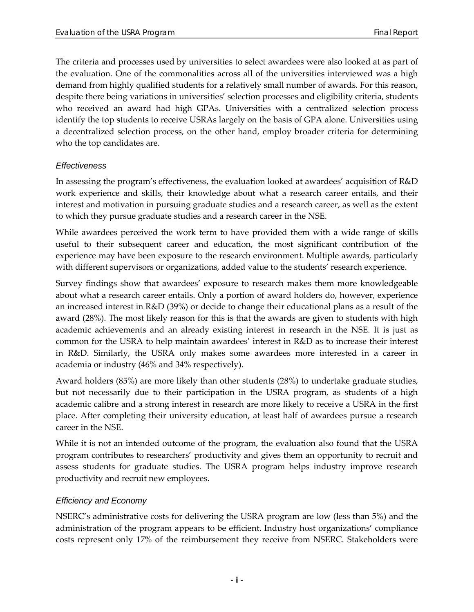The criteria and processes used by universities to select awardees were also looked at as part of the evaluation. One of the commonalities across all of the universities interviewed was a high demand from highly qualified students for a relatively small number of awards. For this reason, despite there being variations in universities' selection processes and eligibility criteria, students who received an award had high GPAs. Universities with a centralized selection process identify the top students to receive USRAs largely on the basis of GPA alone. Universities using a decentralized selection process, on the other hand, employ broader criteria for determining who the top candidates are.

#### *Effectiveness*

In assessing the program's effectiveness, the evaluation looked at awardees' acquisition of R&D work experience and skills, their knowledge about what a research career entails, and their interest and motivation in pursuing graduate studies and a research career, as well as the extent to which they pursue graduate studies and a research career in the NSE.

While awardees perceived the work term to have provided them with a wide range of skills useful to their subsequent career and education, the most significant contribution of the experience may have been exposure to the research environment. Multiple awards, particularly with different supervisors or organizations, added value to the students' research experience.

Survey findings show that awardees' exposure to research makes them more knowledgeable about what a research career entails. Only a portion of award holders do, however, experience an increased interest in R&D (39%) or decide to change their educational plans as a result of the award (28%). The most likely reason for this is that the awards are given to students with high academic achievements and an already existing interest in research in the NSE. It is just as common for the USRA to help maintain awardees' interest in R&D as to increase their interest in R&D. Similarly, the USRA only makes some awardees more interested in a career in academia or industry (46% and 34% respectively).

Award holders (85%) are more likely than other students (28%) to undertake graduate studies, but not necessarily due to their participation in the USRA program, as students of a high academic calibre and a strong interest in research are more likely to receive a USRA in the first place. After completing their university education, at least half of awardees pursue a research career in the NSE.

While it is not an intended outcome of the program, the evaluation also found that the USRA program contributes to researchers' productivity and gives them an opportunity to recruit and assess students for graduate studies. The USRA program helps industry improve research productivity and recruit new employees.

#### *Efficiency and Economy*

NSERC's administrative costs for delivering the USRA program are low (less than 5%) and the administration of the program appears to be efficient. Industry host organizations' compliance costs represent only 17% of the reimbursement they receive from NSERC. Stakeholders were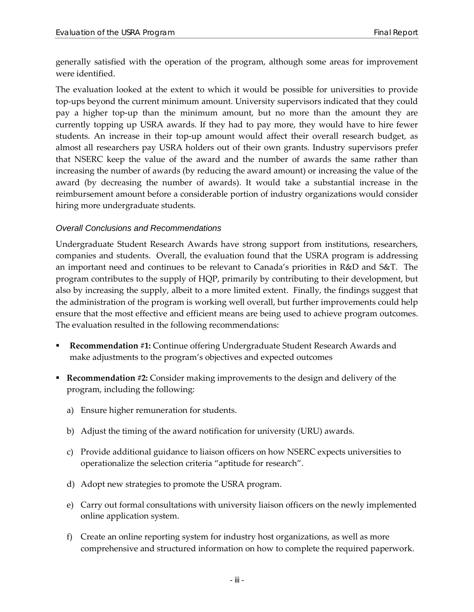generally satisfied with the operation of the program, although some areas for improvement were identified.

The evaluation looked at the extent to which it would be possible for universities to provide top-ups beyond the current minimum amount. University supervisors indicated that they could pay a higher top-up than the minimum amount, but no more than the amount they are currently topping up USRA awards. If they had to pay more, they would have to hire fewer students. An increase in their top-up amount would affect their overall research budget, as almost all researchers pay USRA holders out of their own grants. Industry supervisors prefer that NSERC keep the value of the award and the number of awards the same rather than increasing the number of awards (by reducing the award amount) or increasing the value of the award (by decreasing the number of awards). It would take a substantial increase in the reimbursement amount before a considerable portion of industry organizations would consider hiring more undergraduate students.

#### *Overall Conclusions and Recommendations*

Undergraduate Student Research Awards have strong support from institutions, researchers, companies and students. Overall, the evaluation found that the USRA program is addressing an important need and continues to be relevant to Canada's priorities in R&D and S&T. The program contributes to the supply of HQP, primarily by contributing to their development, but also by increasing the supply, albeit to a more limited extent. Finally, the findings suggest that the administration of the program is working well overall, but further improvements could help ensure that the most effective and efficient means are being used to achieve program outcomes. The evaluation resulted in the following recommendations:

- **Recommendation #1:** Continue offering Undergraduate Student Research Awards and make adjustments to the program's objectives and expected outcomes
- **Recommendation #2:** Consider making improvements to the design and delivery of the program, including the following:
	- a) Ensure higher remuneration for students.
	- b) Adjust the timing of the award notification for university (URU) awards.
	- c) Provide additional guidance to liaison officers on how NSERC expects universities to operationalize the selection criteria "aptitude for research".
	- d) Adopt new strategies to promote the USRA program.
	- e) Carry out formal consultations with university liaison officers on the newly implemented online application system.
	- f) Create an online reporting system for industry host organizations, as well as more comprehensive and structured information on how to complete the required paperwork.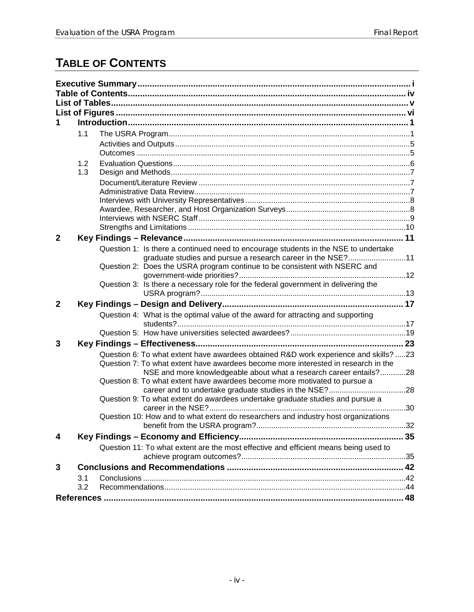## <span id="page-5-0"></span>**TABLE OF CONTENTS**

|              | 1.1 |  |                                                                                                                                                                                                                                                  |  |  |  |
|--------------|-----|--|--------------------------------------------------------------------------------------------------------------------------------------------------------------------------------------------------------------------------------------------------|--|--|--|
|              |     |  |                                                                                                                                                                                                                                                  |  |  |  |
|              |     |  |                                                                                                                                                                                                                                                  |  |  |  |
|              | 1.2 |  |                                                                                                                                                                                                                                                  |  |  |  |
|              | 1.3 |  |                                                                                                                                                                                                                                                  |  |  |  |
|              |     |  |                                                                                                                                                                                                                                                  |  |  |  |
|              |     |  |                                                                                                                                                                                                                                                  |  |  |  |
|              |     |  |                                                                                                                                                                                                                                                  |  |  |  |
|              |     |  |                                                                                                                                                                                                                                                  |  |  |  |
|              |     |  |                                                                                                                                                                                                                                                  |  |  |  |
| $\mathbf{2}$ |     |  |                                                                                                                                                                                                                                                  |  |  |  |
|              |     |  | Question 1: Is there a continued need to encourage students in the NSE to undertake                                                                                                                                                              |  |  |  |
|              |     |  | graduate studies and pursue a research career in the NSE?11                                                                                                                                                                                      |  |  |  |
|              |     |  | Question 2: Does the USRA program continue to be consistent with NSERC and                                                                                                                                                                       |  |  |  |
|              |     |  | Question 3: Is there a necessary role for the federal government in delivering the                                                                                                                                                               |  |  |  |
|              |     |  |                                                                                                                                                                                                                                                  |  |  |  |
| $\mathbf{2}$ |     |  |                                                                                                                                                                                                                                                  |  |  |  |
|              |     |  | Question 4: What is the optimal value of the award for attracting and supporting                                                                                                                                                                 |  |  |  |
|              |     |  |                                                                                                                                                                                                                                                  |  |  |  |
|              |     |  |                                                                                                                                                                                                                                                  |  |  |  |
| 3            |     |  |                                                                                                                                                                                                                                                  |  |  |  |
|              |     |  | Question 6: To what extent have awardees obtained R&D work experience and skills? 23<br>Question 7: To what extent have awardees become more interested in research in the<br>NSE and more knowledgeable about what a research career entails?28 |  |  |  |
|              |     |  | Question 8: To what extent have awardees become more motivated to pursue a                                                                                                                                                                       |  |  |  |
|              |     |  | Question 9: To what extent do awardees undertake graduate studies and pursue a                                                                                                                                                                   |  |  |  |
|              |     |  | Question 10: How and to what extent do researchers and industry host organizations                                                                                                                                                               |  |  |  |
| 4            |     |  |                                                                                                                                                                                                                                                  |  |  |  |
|              |     |  | Question 11: To what extent are the most effective and efficient means being used to                                                                                                                                                             |  |  |  |
| 3            |     |  |                                                                                                                                                                                                                                                  |  |  |  |
|              | 3.1 |  |                                                                                                                                                                                                                                                  |  |  |  |
|              | 3.2 |  |                                                                                                                                                                                                                                                  |  |  |  |
|              |     |  |                                                                                                                                                                                                                                                  |  |  |  |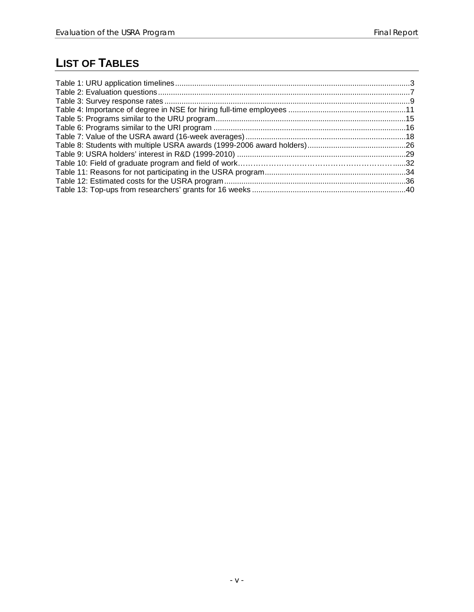## <span id="page-6-0"></span>**LIST OF TABLES**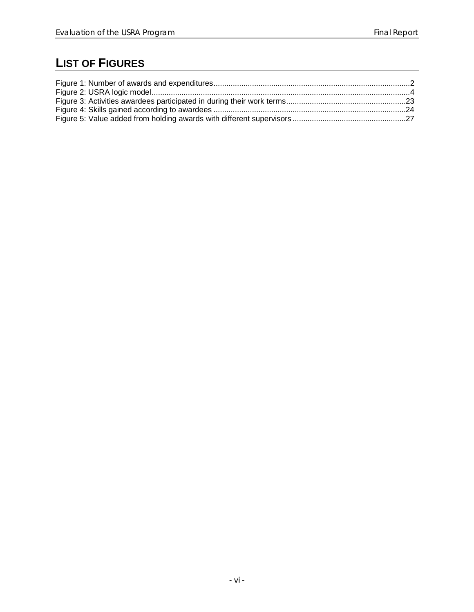## <span id="page-7-0"></span>**LIST OF FIGURES**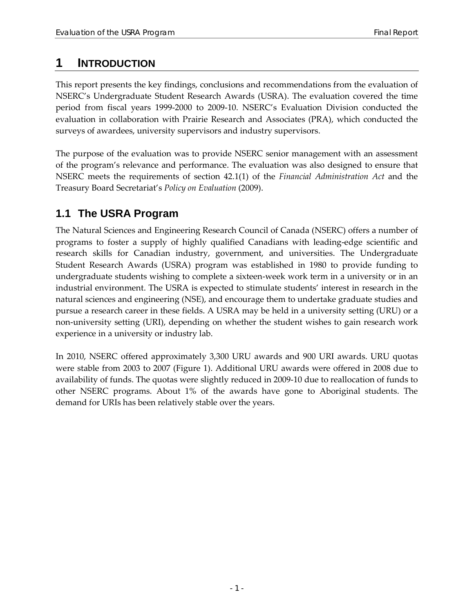## <span id="page-8-0"></span>**1 INTRODUCTION**

This report presents the key findings, conclusions and recommendations from the evaluation of NSERC's Undergraduate Student Research Awards (USRA). The evaluation covered the time period from fiscal years 1999-2000 to 2009-10. NSERC's Evaluation Division conducted the evaluation in collaboration with Prairie Research and Associates (PRA), which conducted the surveys of awardees, university supervisors and industry supervisors.

The purpose of the evaluation was to provide NSERC senior management with an assessment of the program's relevance and performance. The evaluation was also designed to ensure that NSERC meets the requirements of section 42.1(1) of the *Financial Administration Act* and the Treasury Board Secretariat's *Policy on Evaluation* (2009).

## <span id="page-8-1"></span>**1.1 The USRA Program**

The Natural Sciences and Engineering Research Council of Canada (NSERC) offers a number of programs to foster a supply of highly qualified Canadians with leading-edge scientific and research skills for Canadian industry, government, and universities. The Undergraduate Student Research Awards (USRA) program was established in 1980 to provide funding to undergraduate students wishing to complete a sixteen-week work term in a university or in an industrial environment. The USRA is expected to stimulate students' interest in research in the natural sciences and engineering (NSE), and encourage them to undertake graduate studies and pursue a research career in these fields. A USRA may be held in a university setting (URU) or a non-university setting (URI), depending on whether the student wishes to gain research work experience in a university or industry lab.

In 2010, NSERC offered approximately 3,300 URU awards and 900 URI awards. URU quotas were stable from 2003 to 2007 [\(Figure 1\)](#page-9-0). Additional URU awards were offered in 2008 due to availability of funds. The quotas were slightly reduced in 2009-10 due to reallocation of funds to other NSERC programs. About 1% of the awards have gone to Aboriginal students. The demand for URIs has been relatively stable over the years.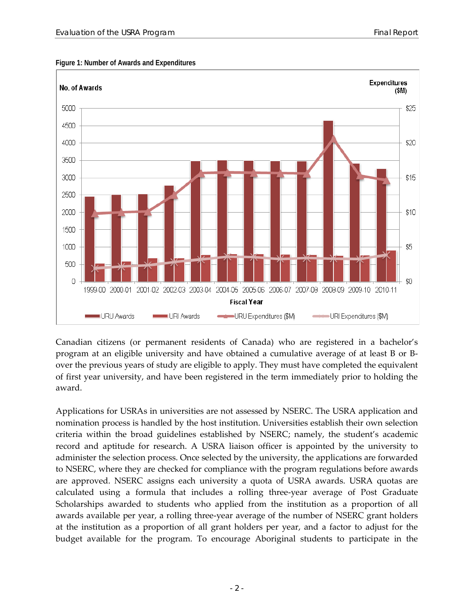

#### <span id="page-9-0"></span>**Figure 1: Number of Awards and Expenditures**

Canadian citizens (or permanent residents of Canada) who are registered in a bachelor's program at an eligible university and have obtained a cumulative average of at least B or Bover the previous years of study are eligible to apply. They must have completed the equivalent of first year university, and have been registered in the term immediately prior to holding the award.

Applications for USRAs in universities are not assessed by NSERC. The USRA application and nomination process is handled by the host institution. Universities establish their own selection criteria within the broad guidelines established by NSERC; namely, the student's academic record and aptitude for research. A USRA liaison officer is appointed by the university to administer the selection process. Once selected by the university, the applications are forwarded to NSERC, where they are checked for compliance with the program regulations before awards are approved. NSERC assigns each university a quota of USRA awards. USRA quotas are calculated using a formula that includes a rolling three-year average of Post Graduate Scholarships awarded to students who applied from the institution as a proportion of all awards available per year, a rolling three-year average of the number of NSERC grant holders at the institution as a proportion of all grant holders per year, and a factor to adjust for the budget available for the program. To encourage Aboriginal students to participate in the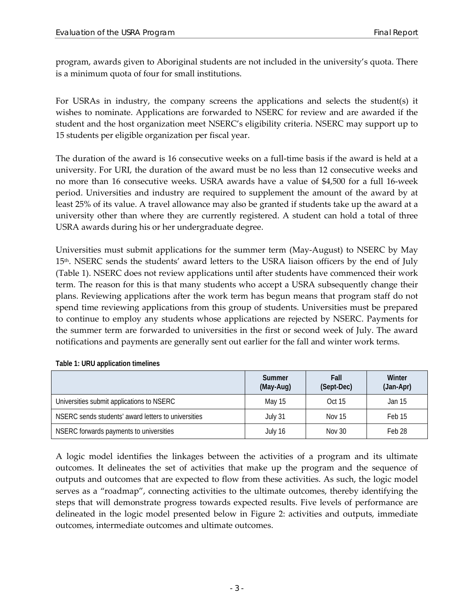program, awards given to Aboriginal students are not included in the university's quota. There is a minimum quota of four for small institutions.

For USRAs in industry, the company screens the applications and selects the student(s) it wishes to nominate. Applications are forwarded to NSERC for review and are awarded if the student and the host organization meet NSERC's eligibility criteria. NSERC may support up to 15 students per eligible organization per fiscal year.

The duration of the award is 16 consecutive weeks on a full-time basis if the award is held at a university. For URI, the duration of the award must be no less than 12 consecutive weeks and no more than 16 consecutive weeks. USRA awards have a value of \$4,500 for a full 16-week period. Universities and industry are required to supplement the amount of the award by at least 25% of its value. A travel allowance may also be granted if students take up the award at a university other than where they are currently registered. A student can hold a total of three USRA awards during his or her undergraduate degree.

Universities must submit applications for the summer term (May-August) to NSERC by May 15<sup>th</sup>. NSERC sends the students' award letters to the USRA liaison officers by the end of July [\(Table 1\)](#page-10-0). NSERC does not review applications until after students have commenced their work term. The reason for this is that many students who accept a USRA subsequently change their plans. Reviewing applications after the work term has begun means that program staff do not spend time reviewing applications from this group of students. Universities must be prepared to continue to employ any students whose applications are rejected by NSERC. Payments for the summer term are forwarded to universities in the first or second week of July. The award notifications and payments are generally sent out earlier for the fall and winter work terms.

|                                                     | Summer<br>(May-Aug) | Fall<br>(Sept-Dec) | Winter<br>(Jan-Apr) |
|-----------------------------------------------------|---------------------|--------------------|---------------------|
| Universities submit applications to NSERC           | May 15              | Oct 15             | Jan 15              |
| NSERC sends students' award letters to universities | July 31             | <b>Nov 15</b>      | Feb 15              |
| NSERC forwards payments to universities             | July 16             | <b>Nov 30</b>      | Feb 28              |

<span id="page-10-0"></span>**Table 1: URU application timelines**

A logic model identifies the linkages between the activities of a program and its ultimate outcomes. It delineates the set of activities that make up the program and the sequence of outputs and outcomes that are expected to flow from these activities. As such, the logic model serves as a "roadmap", connecting activities to the ultimate outcomes, thereby identifying the steps that will demonstrate progress towards expected results. Five levels of performance are delineated in the logic model presented below in [Figure 2:](#page-11-0) activities and outputs, immediate outcomes, intermediate outcomes and ultimate outcomes.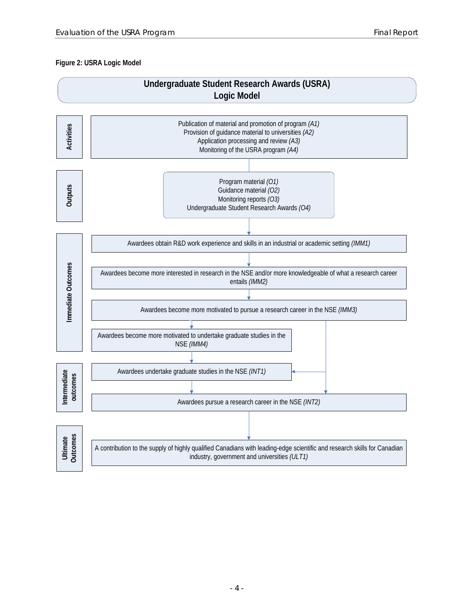#### <span id="page-11-0"></span>**Figure 2: USRA Logic Model**

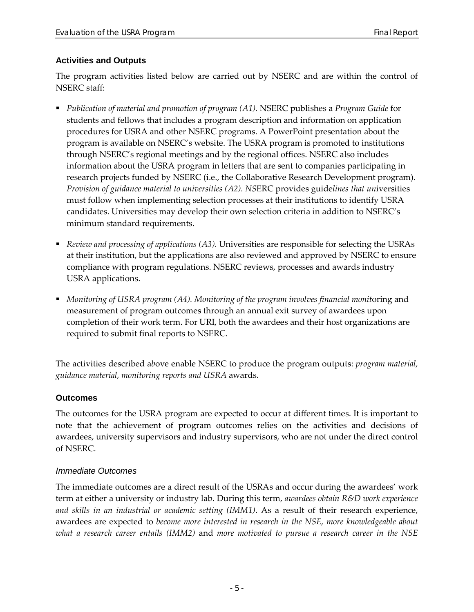#### <span id="page-12-0"></span>**Activities and Outputs**

The program activities listed below are carried out by NSERC and are within the control of NSERC staff:

- *Publication of material and promotion of program (A1).* NSERC publishes a *Program Guide* for students and fellows that includes a program description and information on application procedures for USRA and other NSERC programs. A PowerPoint presentation about the program is available on NSERC's website. The USRA program is promoted to institutions through NSERC's regional meetings and by the regional offices. NSERC also includes information about the USRA program in letters that are sent to companies participating in research projects funded by NSERC (i.e., the Collaborative Research Development program). *Provision of guidance material to universities (A2). NS*ERC provides guide*lines that un*iversities must follow when implementing selection processes at their institutions to identify USRA candidates. Universities may develop their own selection criteria in addition to NSERC's minimum standard requirements.
- *Review and processing of applications (A3).* Universities are responsible for selecting the USRAs at their institution, but the applications are also reviewed and approved by NSERC to ensure compliance with program regulations. NSERC reviews, processes and awards industry USRA applications.
- *Monitoring of USRA program (A4). Monitoring of the program involves financial monit*oring and measurement of program outcomes through an annual exit survey of awardees upon completion of their work term. For URI, both the awardees and their host organizations are required to submit final reports to NSERC.

The activities described a*b*ove enable NSERC to produce the program outputs: *program material, guidance material, monitoring reports and USRA* awards.

#### <span id="page-12-1"></span>**Outcomes**

The outcomes for the USRA program are expected to occur at different times. It is important to note that the achievement of program outcomes relies on the activities and decisions of awardees, university supervisors and industry supervisors, who are not under the direct control of NSERC.

#### *Immediate Outcomes*

The immediate outcomes are a direct result of the USRAs and occur during the awardees' work term at either a university or industry lab. During this term, *awardees obtain R&D work experience and skills in an industrial or academic setting (IMM1)*. As a result of their research experience, awardees are expected to *become more interested in research in the NSE, more knowledgeable about what a research career entails (IMM2)* and *more motivated to pursue a research career in the NSE*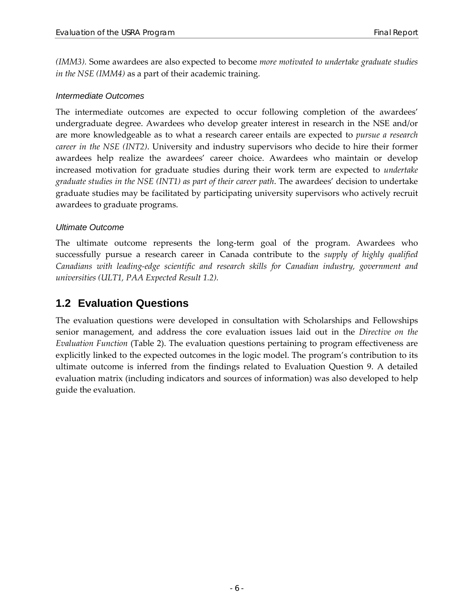*(IMM3).* Some awardees are also expected to become *more motivated to undertake graduate studies in the NSE (IMM4)* as a part of their academic training.

#### *Intermediate Outcomes*

The intermediate outcomes are expected to occur following completion of the awardees' undergraduate degree. Awardees who develop greater interest in research in the NSE and/or are more knowledgeable as to what a research career entails are expected to *pursue a research career in the NSE (INT2)*. University and industry supervisors who decide to hire their former awardees help realize the awardees' career choice. Awardees who maintain or develop increased motivation for graduate studies during their work term are expected to *undertake graduate studies in the NSE (INT1) as part of their career path*. The awardees' decision to undertake graduate studies may be facilitated by participating university supervisors who actively recruit awardees to graduate programs.

#### *Ultimate Outcome*

The ultimate outcome represents the long-term goal of the program. Awardees who successfully pursue a research career in Canada contribute to the *supply of highly qualified Canadians with leading-edge scientific and research skills for Canadian industry, government and universities (ULT1, PAA Expected Result 1.2).*

### <span id="page-13-0"></span>**1.2 Evaluation Questions**

The evaluation questions were developed in consultation with Scholarships and Fellowships senior management, and address the core evaluation issues laid out in the *Directive on the Evaluation Function* [\(Table 2\)](#page-14-3). The evaluation questions pertaining to program effectiveness are explicitly linked to the expected outcomes in the logic model. The program's contribution to its ultimate outcome is inferred from the findings related to Evaluation Question 9. A detailed evaluation matrix (including indicators and sources of information) was also developed to help guide the evaluation.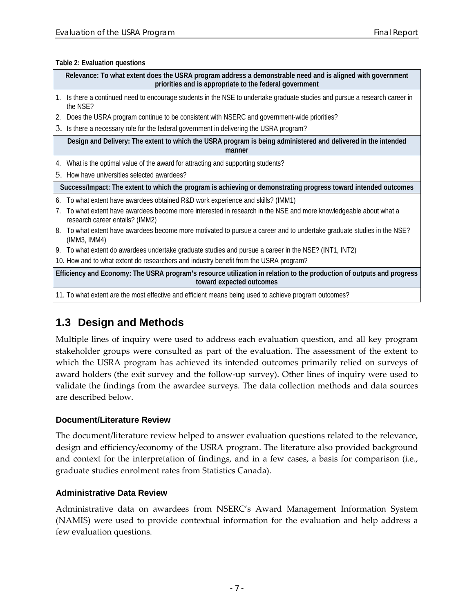#### <span id="page-14-3"></span>**Table 2: Evaluation questions**

|    | Relevance: To what extent does the USRA program address a demonstrable need and is aligned with government<br>priorities and is appropriate to the federal government |  |  |  |
|----|-----------------------------------------------------------------------------------------------------------------------------------------------------------------------|--|--|--|
| 1. | Is there a continued need to encourage students in the NSE to undertake graduate studies and pursue a research career in<br>the NSE?                                  |  |  |  |
| 2. | Does the USRA program continue to be consistent with NSERC and government-wide priorities?                                                                            |  |  |  |
|    | 3. Is there a necessary role for the federal government in delivering the USRA program?                                                                               |  |  |  |
|    | Design and Delivery: The extent to which the USRA program is being administered and delivered in the intended<br>manner                                               |  |  |  |
| 4. | What is the optimal value of the award for attracting and supporting students?                                                                                        |  |  |  |
|    | 5. How have universities selected awardees?                                                                                                                           |  |  |  |
|    | Success/Impact: The extent to which the program is achieving or demonstrating progress toward intended outcomes                                                       |  |  |  |
| 6. | To what extent have awardees obtained R&D work experience and skills? (IMM1)                                                                                          |  |  |  |
|    | To what extent have awardees become more interested in research in the NSE and more knowledgeable about what a<br>research career entails? (IMM2)                     |  |  |  |
| 8. | To what extent have awardees become more motivated to pursue a career and to undertake graduate studies in the NSE?<br>(IMM3, IMM4)                                   |  |  |  |
|    | 9. To what extent do awardees undertake graduate studies and pursue a career in the NSE? (INT1, INT2)                                                                 |  |  |  |
|    | 10. How and to what extent do researchers and industry benefit from the USRA program?                                                                                 |  |  |  |
|    | Efficiency and Economy: The USRA program's resource utilization in relation to the production of outputs and progress<br>toward expected outcomes                     |  |  |  |
|    | 11. To what extent are the most effective and efficient means being used to achieve program outcomes?                                                                 |  |  |  |

## <span id="page-14-0"></span>**1.3 Design and Methods**

Multiple lines of inquiry were used to address each evaluation question, and all key program stakeholder groups were consulted as part of the evaluation. The assessment of the extent to which the USRA program has achieved its intended outcomes primarily relied on surveys of award holders (the exit survey and the follow-up survey). Other lines of inquiry were used to validate the findings from the awardee surveys. The data collection methods and data sources are described below.

#### <span id="page-14-1"></span>**Document/Literature Review**

The document/literature review helped to answer evaluation questions related to the relevance, design and efficiency/economy of the USRA program. The literature also provided background and context for the interpretation of findings, and in a few cases, a basis for comparison (i.e., graduate studies enrolment rates from Statistics Canada).

#### <span id="page-14-2"></span>**Administrative Data Review**

Administrative data on awardees from NSERC's Award Management Information System (NAMIS) were used to provide contextual information for the evaluation and help address a few evaluation questions.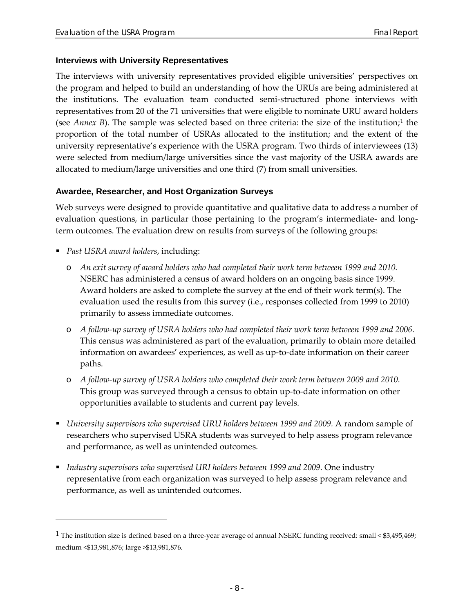#### <span id="page-15-0"></span>**Interviews with University Representatives**

The interviews with university representatives provided eligible universities' perspectives on the program and helped to build an understanding of how the URUs are being administered at the institutions. The evaluation team conducted semi-structured phone interviews with representatives from 20 of the 71 universities that were eligible to nominate URU award holders (see *Annex B*). The sample was selected based on three criteria: the size of the institution;<sup>[1](#page-15-2)</sup> the proportion of the total number of USRAs allocated to the institution; and the extent of the university representative's experience with the USRA program. Two thirds of interviewees (13) were selected from medium/large universities since the vast majority of the USRA awards are allocated to medium/large universities and one third (7) from small universities.

#### <span id="page-15-1"></span>**Awardee, Researcher, and Host Organization Surveys**

Web surveys were designed to provide quantitative and qualitative data to address a number of evaluation questions, in particular those pertaining to the program's intermediate- and longterm outcomes. The evaluation drew on results from surveys of the following groups:

*Past USRA award holders*, including:

 $\overline{a}$ 

- o *An exit survey of award holders who had completed their work term between 1999 and 2010.* NSERC has administered a census of award holders on an ongoing basis since 1999. Award holders are asked to complete the survey at the end of their work term(s). The evaluation used the results from this survey (i.e., responses collected from 1999 to 2010) primarily to assess immediate outcomes.
- o *A follow-up survey of USRA holders who had completed their work term between 1999 and 2006.* This census was administered as part of the evaluation, primarily to obtain more detailed information on awardees' experiences, as well as up-to-date information on their career paths.
- o *A follow-up survey of USRA holders who completed their work term between 2009 and 2010*. This group was surveyed through a census to obtain up-to-date information on other opportunities available to students and current pay levels.
- *University supervisors who supervised URU holders between 1999 and 2009.* A random sample of researchers who supervised USRA students was surveyed to help assess program relevance and performance, as well as unintended outcomes.
- *Industry supervisors who supervised URI holders between 1999 and 2009*. One industry representative from each organization was surveyed to help assess program relevance and performance, as well as unintended outcomes.

<span id="page-15-2"></span><sup>&</sup>lt;sup>1</sup> The institution size is defined based on a three-year average of annual NSERC funding received: small <  $$3,495,469$ ; medium <\$13,981,876; large >\$13,981,876.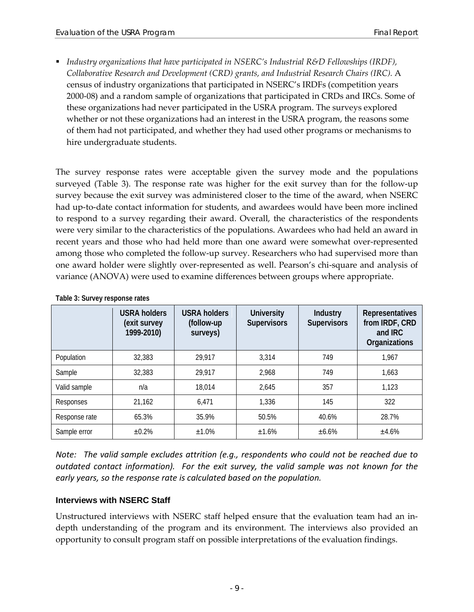*Industry organizations that have participated in NSERC's Industrial R&D Fellowships (IRDF), Collaborative Research and Development (CRD) grants, and Industrial Research Chairs (IRC).* A census of industry organizations that participated in NSERC's IRDFs (competition years 2000-08) and a random sample of organizations that participated in CRDs and IRCs. Some of these organizations had never participated in the USRA program. The surveys explored whether or not these organizations had an interest in the USRA program, the reasons some of them had not participated, and whether they had used other programs or mechanisms to hire undergraduate students.

The survey response rates were acceptable given the survey mode and the populations surveyed [\(Table 3\)](#page-16-1). The response rate was higher for the exit survey than for the follow-up survey because the exit survey was administered closer to the time of the award, when NSERC had up-to-date contact information for students, and awardees would have been more inclined to respond to a survey regarding their award. Overall, the characteristics of the respondents were very similar to the characteristics of the populations. Awardees who had held an award in recent years and those who had held more than one award were somewhat over-represented among those who completed the follow-up survey. Researchers who had supervised more than one award holder were slightly over-represented as well. Pearson's chi-square and analysis of variance (ANOVA) were used to examine differences between groups where appropriate.

|               | <b>USRA holders</b><br>(exit survey<br>1999-2010) | <b>USRA holders</b><br>(follow-up<br>surveys) | <b>University</b><br><b>Supervisors</b> | <b>Industry</b><br><b>Supervisors</b> | <b>Representatives</b><br>from IRDF, CRD<br>and IRC<br>Organizations |
|---------------|---------------------------------------------------|-----------------------------------------------|-----------------------------------------|---------------------------------------|----------------------------------------------------------------------|
| Population    | 32,383                                            | 29,917                                        | 3,314                                   | 749                                   | 1,967                                                                |
| Sample        | 32,383                                            | 29,917                                        | 2,968                                   | 749                                   | 1,663                                                                |
| Valid sample  | n/a                                               | 18,014                                        | 2,645                                   | 357                                   | 1,123                                                                |
| Responses     | 21,162                                            | 6,471                                         | 1,336                                   | 145                                   | 322                                                                  |
| Response rate | 65.3%                                             | 35.9%                                         | 50.5%                                   | 40.6%                                 | 28.7%                                                                |
| Sample error  | $\pm 0.2\%$                                       | ±1.0%                                         | ±1.6%                                   | ±6.6%                                 | ±4.6%                                                                |

<span id="page-16-1"></span>**Table 3: Survey response rates**

*Note: The valid sample excludes attrition (e.g., respondents who could not be reached due to outdated contact information). For the exit survey, the valid sample was not known for the early years, so the response rate is calculated based on the population.*

#### <span id="page-16-0"></span>**Interviews with NSERC Staff**

Unstructured interviews with NSERC staff helped ensure that the evaluation team had an indepth understanding of the program and its environment. The interviews also provided an opportunity to consult program staff on possible interpretations of the evaluation findings.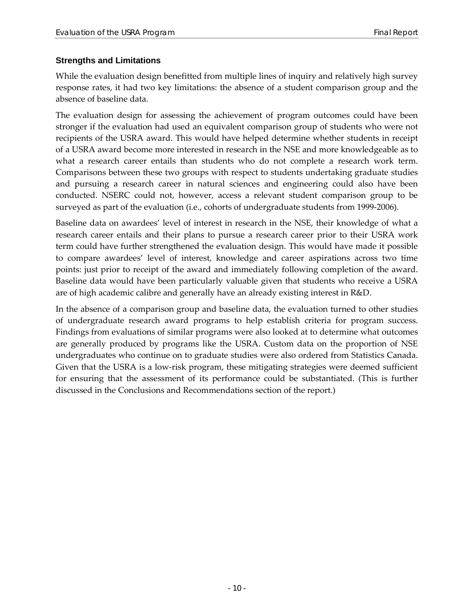#### <span id="page-17-0"></span>**Strengths and Limitations**

While the evaluation design benefitted from multiple lines of inquiry and relatively high survey response rates, it had two key limitations: the absence of a student comparison group and the absence of baseline data.

The evaluation design for assessing the achievement of program outcomes could have been stronger if the evaluation had used an equivalent comparison group of students who were not recipients of the USRA award. This would have helped determine whether students in receipt of a USRA award become more interested in research in the NSE and more knowledgeable as to what a research career entails than students who do not complete a research work term. Comparisons between these two groups with respect to students undertaking graduate studies and pursuing a research career in natural sciences and engineering could also have been conducted. NSERC could not, however, access a relevant student comparison group to be surveyed as part of the evaluation (i.e., cohorts of undergraduate students from 1999-2006).

Baseline data on awardees' level of interest in research in the NSE, their knowledge of what a research career entails and their plans to pursue a research career prior to their USRA work term could have further strengthened the evaluation design. This would have made it possible to compare awardees' level of interest, knowledge and career aspirations across two time points: just prior to receipt of the award and immediately following completion of the award. Baseline data would have been particularly valuable given that students who receive a USRA are of high academic calibre and generally have an already existing interest in R&D.

In the absence of a comparison group and baseline data, the evaluation turned to other studies of undergraduate research award programs to help establish criteria for program success. Findings from evaluations of similar programs were also looked at to determine what outcomes are generally produced by programs like the USRA. Custom data on the proportion of NSE undergraduates who continue on to graduate studies were also ordered from Statistics Canada. Given that the USRA is a low-risk program, these mitigating strategies were deemed sufficient for ensuring that the assessment of its performance could be substantiated. (This is further discussed in the Conclusions and Recommendations section of the report.)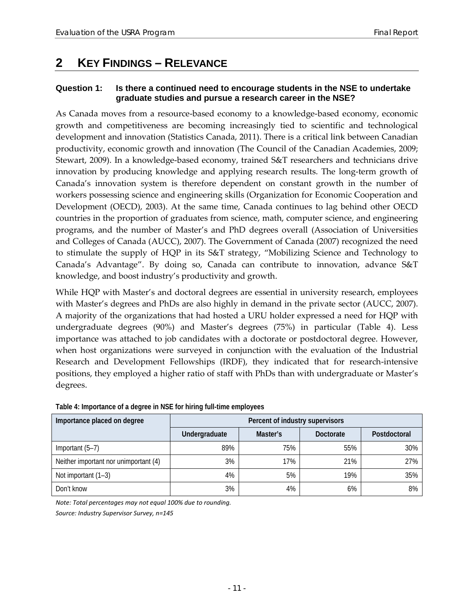## <span id="page-18-0"></span>**2 KEY FINDINGS – RELEVANCE**

#### <span id="page-18-1"></span>**Question 1: Is there a continued need to encourage students in the NSE to undertake graduate studies and pursue a research career in the NSE?**

As Canada moves from a resource-based economy to a knowledge-based economy, economic growth and competitiveness are becoming increasingly tied to scientific and technological development and innovation (Statistics Canada, 2011). There is a critical link between Canadian productivity, economic growth and innovation (The Council of the Canadian Academies, 2009; Stewart, 2009). In a knowledge-based economy, trained S&T researchers and technicians drive innovation by producing knowledge and applying research results. The long-term growth of Canada's innovation system is therefore dependent on constant growth in the number of workers possessing science and engineering skills (Organization for Economic Cooperation and Development (OECD), 2003). At the same time, Canada continues to lag behind other OECD countries in the proportion of graduates from science, math, computer science, and engineering programs, and the number of Master's and PhD degrees overall (Association of Universities and Colleges of Canada (AUCC), 2007). The Government of Canada (2007) recognized the need to stimulate the supply of HQP in its S&T strategy, "Mobilizing Science and Technology to Canada's Advantage". By doing so, Canada can contribute to innovation, advance S&T knowledge, and boost industry's productivity and growth.

While HQP with Master's and doctoral degrees are essential in university research, employees with Master's degrees and PhDs are also highly in demand in the private sector (AUCC, 2007). A majority of the organizations that had hosted a URU holder expressed a need for HQP with undergraduate degrees (90%) and Master's degrees (75%) in particular [\(Table 4\)](#page-18-2). Less importance was attached to job candidates with a doctorate or postdoctoral degree. However, when host organizations were surveyed in conjunction with the evaluation of the Industrial Research and Development Fellowships (IRDF), they indicated that for research-intensive positions, they employed a higher ratio of staff with PhDs than with undergraduate or Master's degrees.

| Importance placed on degree           | Percent of industry supervisors |          |           |              |  |
|---------------------------------------|---------------------------------|----------|-----------|--------------|--|
|                                       | Undergraduate                   | Master's | Doctorate | Postdoctoral |  |
| Important $(5-7)$                     | 89%                             | 75%      | 55%       | 30%          |  |
| Neither important nor unimportant (4) | 3%                              | 17%      | 21%       | 27%          |  |
| Not important $(1-3)$                 | 4%                              | 5%       | 19%       | 35%          |  |
| Don't know                            | 3%                              | 4%       | 6%        | 8%           |  |

#### <span id="page-18-2"></span>**Table 4: Importance of a degree in NSE for hiring full-time employees**

*Note: Total percentages may not equal 100% due to rounding.*

*Source: Industry Supervisor Survey, n=145*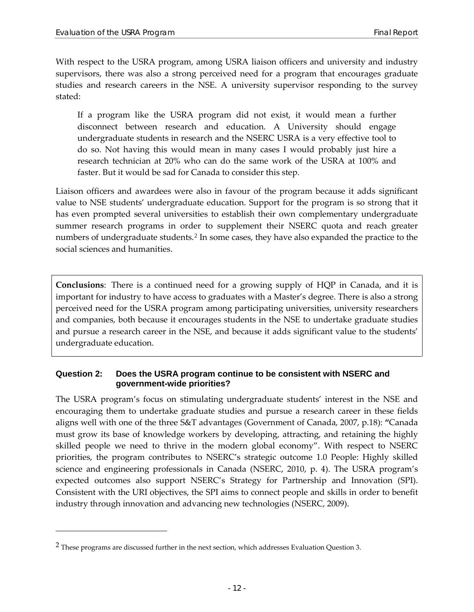With respect to the USRA program, among USRA liaison officers and university and industry supervisors, there was also a strong perceived need for a program that encourages graduate studies and research careers in the NSE. A university supervisor responding to the survey stated:

If a program like the USRA program did not exist, it would mean a further disconnect between research and education. A University should engage undergraduate students in research and the NSERC USRA is a very effective tool to do so. Not having this would mean in many cases I would probably just hire a research technician at 20% who can do the same work of the USRA at 100% and faster. But it would be sad for Canada to consider this step.

Liaison officers and awardees were also in favour of the program because it adds significant value to NSE students' undergraduate education. Support for the program is so strong that it has even prompted several universities to establish their own complementary undergraduate summer research programs in order to supplement their NSERC quota and reach greater numbers of undergraduate students.<sup>[2](#page-19-1)</sup> In some cases, they have also expanded the practice to the social sciences and humanities.

**Conclusions**: There is a continued need for a growing supply of HQP in Canada, and it is important for industry to have access to graduates with a Master's degree. There is also a strong perceived need for the USRA program among participating universities, university researchers and companies, both because it encourages students in the NSE to undertake graduate studies and pursue a research career in the NSE, and because it adds significant value to the students' undergraduate education.

#### <span id="page-19-0"></span>**Question 2: Does the USRA program continue to be consistent with NSERC and government-wide priorities?**

The USRA program's focus on stimulating undergraduate students' interest in the NSE and encouraging them to undertake graduate studies and pursue a research career in these fields aligns well with one of the three S&T advantages (Government of Canada, 2007, p.18): **"**Canada must grow its base of knowledge workers by developing, attracting, and retaining the highly skilled people we need to thrive in the modern global economy". With respect to NSERC priorities, the program contributes to NSERC's strategic outcome 1.0 People: Highly skilled science and engineering professionals in Canada (NSERC, 2010, p. 4). The USRA program's expected outcomes also support NSERC's Strategy for Partnership and Innovation (SPI). Consistent with the URI objectives, the SPI aims to connect people and skills in order to benefit industry through innovation and advancing new technologies (NSERC, 2009).

 $\overline{a}$ 

<span id="page-19-1"></span><sup>2</sup> These programs are discussed further in the next section, which addresses Evaluation Question 3.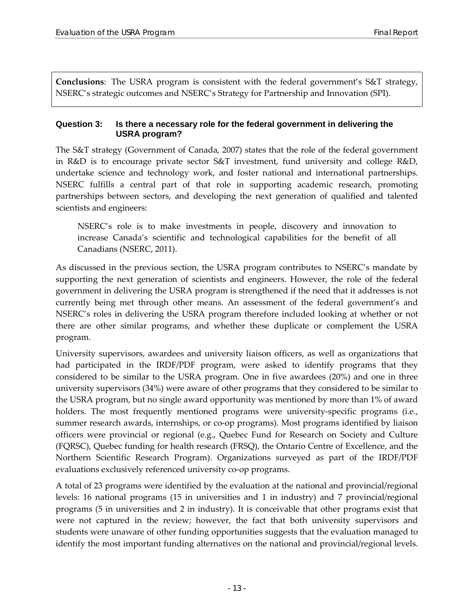**Conclusions**: The USRA program is consistent with the federal government's S&T strategy, NSERC's strategic outcomes and NSERC's Strategy for Partnership and Innovation (SPI).

#### <span id="page-20-0"></span>**Question 3: Is there a necessary role for the federal government in delivering the USRA program?**

The S&T strategy (Government of Canada, 2007) states that the role of the federal government in R&D is to encourage private sector S&T investment, fund university and college R&D, undertake science and technology work, and foster national and international partnerships. NSERC fulfills a central part of that role in supporting academic research, promoting partnerships between sectors, and developing the next generation of qualified and talented scientists and engineers:

NSERC's role is to make investments in people, discovery and innovation to increase Canada's scientific and technological capabilities for the benefit of all Canadians (NSERC, 2011).

As discussed in the previous section, the USRA program contributes to NSERC's mandate by supporting the next generation of scientists and engineers. However, the role of the federal government in delivering the USRA program is strengthened if the need that it addresses is not currently being met through other means. An assessment of the federal government's and NSERC's roles in delivering the USRA program therefore included looking at whether or not there are other similar programs, and whether these duplicate or complement the USRA program.

University supervisors, awardees and university liaison officers, as well as organizations that had participated in the IRDF/PDF program, were asked to identify programs that they considered to be similar to the USRA program. One in five awardees (20%) and one in three university supervisors (34%) were aware of other programs that they considered to be similar to the USRA program, but no single award opportunity was mentioned by more than 1% of award holders. The most frequently mentioned programs were university-specific programs (i.e., summer research awards, internships, or co-op programs). Most programs identified by liaison officers were provincial or regional (e.g., Quebec Fund for Research on Society and Culture (FQRSC), Quebec funding for health research (FRSQ), the Ontario Centre of Excellence, and the Northern Scientific Research Program). Organizations surveyed as part of the IRDF/PDF evaluations exclusively referenced university co-op programs.

A total of 23 programs were identified by the evaluation at the national and provincial/regional levels: 16 national programs (15 in universities and 1 in industry) and 7 provincial/regional programs (5 in universities and 2 in industry). It is conceivable that other programs exist that were not captured in the review; however, the fact that both university supervisors and students were unaware of other funding opportunities suggests that the evaluation managed to identify the most important funding alternatives on the national and provincial/regional levels.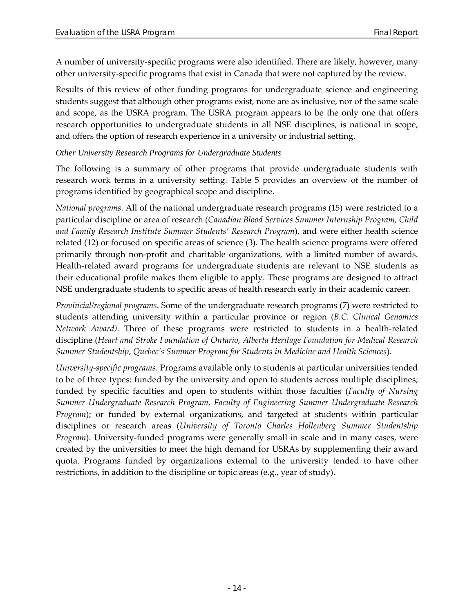A number of university-specific programs were also identified. There are likely, however, many other university-specific programs that exist in Canada that were not captured by the review.

Results of this review of other funding programs for undergraduate science and engineering students suggest that although other programs exist, none are as inclusive, nor of the same scale and scope, as the USRA program. The USRA program appears to be the only one that offers research opportunities to undergraduate students in all NSE disciplines, is national in scope, and offers the option of research experience in a university or industrial setting.

#### *Other University Research Programs for Undergraduate Students*

The following is a summary of other programs that provide undergraduate students with research work terms in a university setting. [Table 5](#page-22-0) provides an overview of the number of programs identified by geographical scope and discipline.

*National programs*. All of the national undergraduate research programs (15) were restricted to a particular discipline or area of research (*Canadian Blood Services Summer Internship Program, Child and Family Research Institute Summer Students' Research Program*), and were either health science related (12) or focused on specific areas of science (3). The health science programs were offered primarily through non-profit and charitable organizations, with a limited number of awards. Health-related award programs for undergraduate students are relevant to NSE students as their educational profile makes them eligible to apply. These programs are designed to attract NSE undergraduate students to specific areas of health research early in their academic career.

*Provincial/regional programs*. Some of the undergraduate research programs (7) were restricted to students attending university within a particular province or region (*B.C. Clinical Genomics Network Award)*. Three of these programs were restricted to students in a health-related discipline (*Heart and Stroke Foundation of Ontario*, *Alberta Heritage Foundation for Medical Research Summer Studentship*, *Quebec's Summer Program for Students in Medicine and Health Sciences*).

*University-specific programs.* Programs available only to students at particular universities tended to be of three types: funded by the university and open to students across multiple disciplines; funded by specific faculties and open to students within those faculties (*Faculty of Nursing Summer Undergraduate Research Program, Faculty of Engineering Summer Undergraduate Research Program*); or funded by external organizations, and targeted at students within particular disciplines or research areas (*University of Toronto Charles Hollenberg Summer Studentship Program*). University-funded programs were generally small in scale and in many cases, were created by the universities to meet the high demand for USRAs by supplementing their award quota. Programs funded by organizations external to the university tended to have other restrictions, in addition to the discipline or topic areas (e.g., year of study).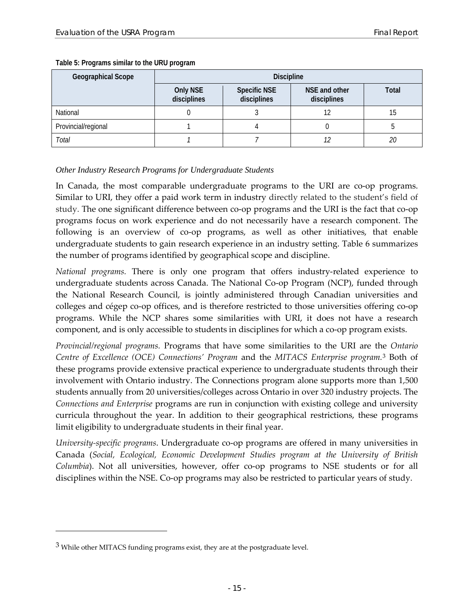| Geographical Scope  | <b>Discipline</b>              |                                    |                              |       |  |
|---------------------|--------------------------------|------------------------------------|------------------------------|-------|--|
|                     | <b>Only NSE</b><br>disciplines | <b>Specific NSE</b><br>disciplines | NSE and other<br>disciplines | Total |  |
| National            |                                |                                    | 12                           | 15    |  |
| Provincial/regional |                                |                                    |                              |       |  |
| Total               |                                |                                    |                              | 20    |  |

#### <span id="page-22-0"></span>**Table 5: Programs similar to the URU program**

#### *Other Industry Research Programs for Undergraduate Students*

In Canada, the most comparable undergraduate programs to the URI are co-op programs. Similar to URI, they offer a paid work term in industry directly related to the student's field of study. The one significant difference between co-op programs and the URI is the fact that co-op programs focus on work experience and do not necessarily have a research component. The following is an overview of co-op programs, as well as other initiatives, that enable undergraduate students to gain research experience in an industry setting. [Table 6](#page-23-0) summarizes the number of programs identified by geographical scope and discipline.

*National programs.* There is only one program that offers industry-related experience to undergraduate students across Canada. The National Co-op Program (NCP), funded through the National Research Council, is jointly administered through Canadian universities and colleges and cégep co-op offices, and is therefore restricted to those universities offering co-op programs. While the NCP shares some similarities with URI, it does not have a research component, and is only accessible to students in disciplines for which a co-op program exists.

*Provincial/regional programs.* Programs that have some similarities to the URI are the *Ontario Centre of Excellence (OCE) Connections' Program* and the *MITACS Enterprise program.*[3](#page-22-1) Both of these programs provide extensive practical experience to undergraduate students through their involvement with Ontario industry. The Connections program alone supports more than 1,500 students annually from 20 universities/colleges across Ontario in over 320 industry projects. The *Connections and Enterprise* programs are run in conjunction with existing college and university curricula throughout the year. In addition to their geographical restrictions, these programs limit eligibility to undergraduate students in their final year.

*University-specific programs*. Undergraduate co-op programs are offered in many universities in Canada (*Social, Ecological, Economic Development Studies program at the University of British Columbia*). Not all universities, however, offer co-op programs to NSE students or for all disciplines within the NSE. Co-op programs may also be restricted to particular years of study.

 $\overline{a}$ 

<span id="page-22-1"></span><sup>&</sup>lt;sup>3</sup> While other MITACS funding programs exist, they are at the postgraduate level.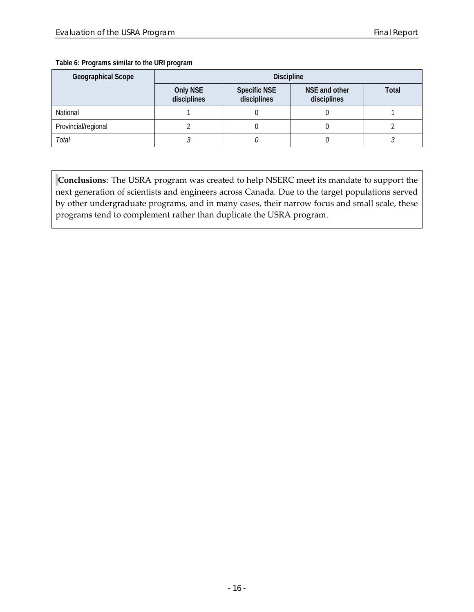#### <span id="page-23-0"></span>**Table 6: Programs similar to the URI program**

| Geographical Scope  | <b>Discipline</b>              |                                    |                              |       |  |
|---------------------|--------------------------------|------------------------------------|------------------------------|-------|--|
|                     | <b>Only NSE</b><br>disciplines | <b>Specific NSE</b><br>disciplines | NSE and other<br>disciplines | Total |  |
| National            |                                |                                    |                              |       |  |
| Provincial/regional |                                |                                    |                              |       |  |
| Total               |                                |                                    |                              |       |  |

**Conclusions**: The USRA program was created to help NSERC meet its mandate to support the next generation of scientists and engineers across Canada. Due to the target populations served by other undergraduate programs, and in many cases, their narrow focus and small scale, these programs tend to complement rather than duplicate the USRA program.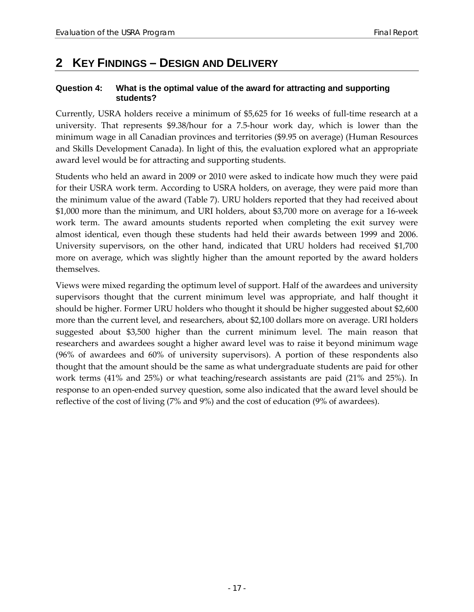## <span id="page-24-0"></span>**2 KEY FINDINGS – DESIGN AND DELIVERY**

#### <span id="page-24-1"></span>**Question 4: What is the optimal value of the award for attracting and supporting students?**

Currently, USRA holders receive a minimum of \$5,625 for 16 weeks of full-time research at a university. That represents \$9.38/hour for a 7.5-hour work day, which is lower than the minimum wage in all Canadian provinces and territories (\$9.95 on average) (Human Resources and Skills Development Canada). In light of this, the evaluation explored what an appropriate award level would be for attracting and supporting students.

Students who held an award in 2009 or 2010 were asked to indicate how much they were paid for their USRA work term. According to USRA holders, on average, they were paid more than the minimum value of the award [\(Table 7\)](#page-25-0). URU holders reported that they had received about \$1,000 more than the minimum, and URI holders, about \$3,700 more on average for a 16-week work term. The award amounts students reported when completing the exit survey were almost identical, even though these students had held their awards between 1999 and 2006. University supervisors, on the other hand, indicated that URU holders had received \$1,700 more on average, which was slightly higher than the amount reported by the award holders themselves.

Views were mixed regarding the optimum level of support. Half of the awardees and university supervisors thought that the current minimum level was appropriate, and half thought it should be higher. Former URU holders who thought it should be higher suggested about \$2,600 more than the current level, and researchers, about \$2,100 dollars more on average. URI holders suggested about \$3,500 higher than the current minimum level. The main reason that researchers and awardees sought a higher award level was to raise it beyond minimum wage (96% of awardees and 60% of university supervisors). A portion of these respondents also thought that the amount should be the same as what undergraduate students are paid for other work terms (41% and 25%) or what teaching/research assistants are paid (21% and 25%). In response to an open-ended survey question, some also indicated that the award level should be reflective of the cost of living (7% and 9%) and the cost of education (9% of awardees).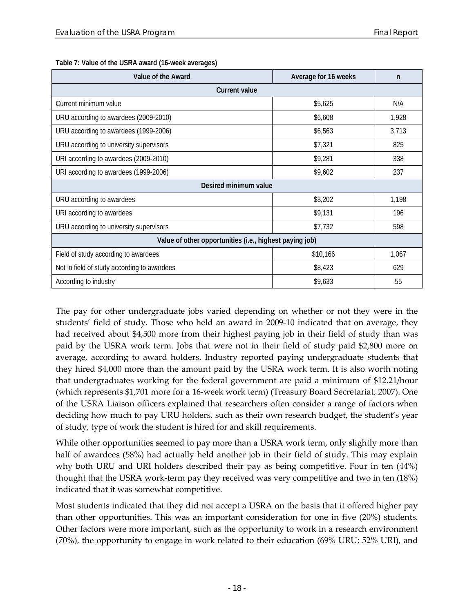| Value of the Award                                      | Average for 16 weeks | n     |  |  |  |  |
|---------------------------------------------------------|----------------------|-------|--|--|--|--|
| <b>Current value</b>                                    |                      |       |  |  |  |  |
| Current minimum value                                   | \$5,625              | N/A   |  |  |  |  |
| URU according to awardees (2009-2010)                   | \$6,608              | 1,928 |  |  |  |  |
| URU according to awardees (1999-2006)                   | \$6,563              | 3,713 |  |  |  |  |
| URU according to university supervisors                 | \$7,321              | 825   |  |  |  |  |
| URI according to awardees (2009-2010)                   | \$9,281              | 338   |  |  |  |  |
| URI according to awardees (1999-2006)                   | \$9,602              | 237   |  |  |  |  |
| Desired minimum value                                   |                      |       |  |  |  |  |
| URU according to awardees                               | \$8,202              | 1,198 |  |  |  |  |
| URI according to awardees                               | \$9,131              | 196   |  |  |  |  |
| URU according to university supervisors                 | \$7,732              | 598   |  |  |  |  |
| Value of other opportunities (i.e., highest paying job) |                      |       |  |  |  |  |
| Field of study according to awardees                    | \$10,166             | 1,067 |  |  |  |  |
| Not in field of study according to awardees             | \$8,423              | 629   |  |  |  |  |
| According to industry                                   | \$9,633              | 55    |  |  |  |  |

#### <span id="page-25-0"></span>**Table 7: Value of the USRA award (16-week averages)**

The pay for other undergraduate jobs varied depending on whether or not they were in the students' field of study. Those who held an award in 2009-10 indicated that on average, they had received about \$4,500 more from their highest paying job in their field of study than was paid by the USRA work term. Jobs that were not in their field of study paid \$2,800 more on average, according to award holders. Industry reported paying undergraduate students that they hired \$4,000 more than the amount paid by the USRA work term. It is also worth noting that undergraduates working for the federal government are paid a minimum of \$12.21/hour (which represents \$1,701 more for a 16-week work term) (Treasury Board Secretariat, 2007). One of the USRA Liaison officers explained that researchers often consider a range of factors when deciding how much to pay URU holders, such as their own research budget, the student's year of study, type of work the student is hired for and skill requirements.

While other opportunities seemed to pay more than a USRA work term, only slightly more than half of awardees (58%) had actually held another job in their field of study. This may explain why both URU and URI holders described their pay as being competitive. Four in ten (44%) thought that the USRA work-term pay they received was very competitive and two in ten (18%) indicated that it was somewhat competitive.

Most students indicated that they did not accept a USRA on the basis that it offered higher pay than other opportunities. This was an important consideration for one in five (20%) students. Other factors were more important, such as the opportunity to work in a research environment (70%), the opportunity to engage in work related to their education (69% URU; 52% URI), and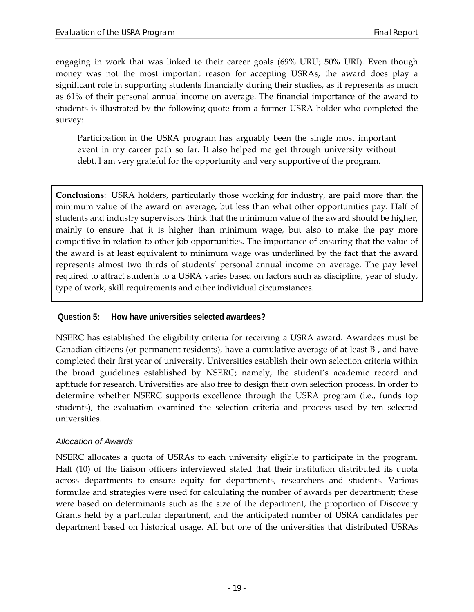engaging in work that was linked to their career goals (69% URU; 50% URI). Even though money was not the most important reason for accepting USRAs, the award does play a significant role in supporting students financially during their studies, as it represents as much as 61% of their personal annual income on average. The financial importance of the award to students is illustrated by the following quote from a former USRA holder who completed the survey:

Participation in the USRA program has arguably been the single most important event in my career path so far. It also helped me get through university without debt. I am very grateful for the opportunity and very supportive of the program.

**Conclusions**: USRA holders, particularly those working for industry, are paid more than the minimum value of the award on average, but less than what other opportunities pay. Half of students and industry supervisors think that the minimum value of the award should be higher, mainly to ensure that it is higher than minimum wage, but also to make the pay more competitive in relation to other job opportunities. The importance of ensuring that the value of the award is at least equivalent to minimum wage was underlined by the fact that the award represents almost two thirds of students' personal annual income on average. The pay level required to attract students to a USRA varies based on factors such as discipline, year of study, type of work, skill requirements and other individual circumstances.

#### <span id="page-26-0"></span>**Question 5: How have universities selected awardees?**

NSERC has established the eligibility criteria for receiving a USRA award. Awardees must be Canadian citizens (or permanent residents), have a cumulative average of at least B-, and have completed their first year of university. Universities establish their own selection criteria within the broad guidelines established by NSERC; namely, the student's academic record and aptitude for research. Universities are also free to design their own selection process. In order to determine whether NSERC supports excellence through the USRA program (i.e., funds top students), the evaluation examined the selection criteria and process used by ten selected universities.

#### *Allocation of Awards*

NSERC allocates a quota of USRAs to each university eligible to participate in the program. Half (10) of the liaison officers interviewed stated that their institution distributed its quota across departments to ensure equity for departments, researchers and students. Various formulae and strategies were used for calculating the number of awards per department; these were based on determinants such as the size of the department, the proportion of Discovery Grants held by a particular department, and the anticipated number of USRA candidates per department based on historical usage. All but one of the universities that distributed USRAs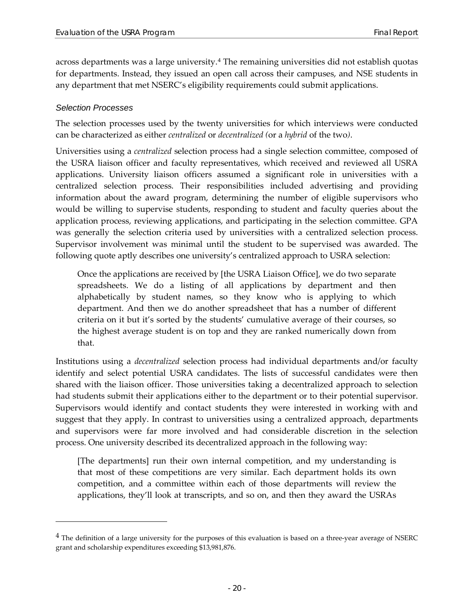across departments was a large university.[4](#page-27-0) The remaining universities did not establish quotas for departments. Instead, they issued an open call across their campuses, and NSE students in any department that met NSERC's eligibility requirements could submit applications.

#### *Selection Processes*

 $\overline{a}$ 

The selection processes used by the twenty universities for which interviews were conducted can be characterized as either *centralized* or *decentralized (*or a *hybrid* of the two*)*.

Universities using a *centralized* selection process had a single selection committee, composed of the USRA liaison officer and faculty representatives, which received and reviewed all USRA applications. University liaison officers assumed a significant role in universities with a centralized selection process. Their responsibilities included advertising and providing information about the award program, determining the number of eligible supervisors who would be willing to supervise students, responding to student and faculty queries about the application process, reviewing applications, and participating in the selection committee. GPA was generally the selection criteria used by universities with a centralized selection process. Supervisor involvement was minimal until the student to be supervised was awarded. The following quote aptly describes one university's centralized approach to USRA selection:

Once the applications are received by [the USRA Liaison Office], we do two separate spreadsheets. We do a listing of all applications by department and then alphabetically by student names, so they know who is applying to which department. And then we do another spreadsheet that has a number of different criteria on it but it's sorted by the students' cumulative average of their courses, so the highest average student is on top and they are ranked numerically down from that.

Institutions using a *decentralized* selection process had individual departments and/or faculty identify and select potential USRA candidates. The lists of successful candidates were then shared with the liaison officer. Those universities taking a decentralized approach to selection had students submit their applications either to the department or to their potential supervisor. Supervisors would identify and contact students they were interested in working with and suggest that they apply. In contrast to universities using a centralized approach, departments and supervisors were far more involved and had considerable discretion in the selection process. One university described its decentralized approach in the following way:

[The departments] run their own internal competition, and my understanding is that most of these competitions are very similar. Each department holds its own competition, and a committee within each of those departments will review the applications, they'll look at transcripts, and so on, and then they award the USRAs

<span id="page-27-0"></span> $<sup>4</sup>$  The definition of a large university for the purposes of this evaluation is based on a three-year average of NSERC</sup> grant and scholarship expenditures exceeding \$13,981,876.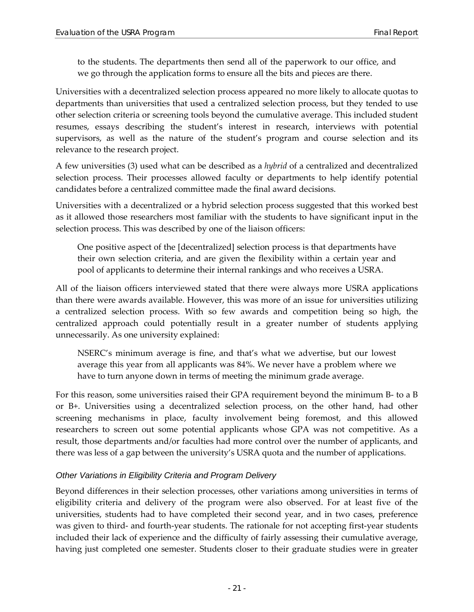to the students. The departments then send all of the paperwork to our office, and we go through the application forms to ensure all the bits and pieces are there.

Universities with a decentralized selection process appeared no more likely to allocate quotas to departments than universities that used a centralized selection process, but they tended to use other selection criteria or screening tools beyond the cumulative average. This included student resumes, essays describing the student's interest in research, interviews with potential supervisors, as well as the nature of the student's program and course selection and its relevance to the research project.

A few universities (3) used what can be described as a *hybrid* of a centralized and decentralized selection process. Their processes allowed faculty or departments to help identify potential candidates before a centralized committee made the final award decisions.

Universities with a decentralized or a hybrid selection process suggested that this worked best as it allowed those researchers most familiar with the students to have significant input in the selection process. This was described by one of the liaison officers:

One positive aspect of the [decentralized] selection process is that departments have their own selection criteria, and are given the flexibility within a certain year and pool of applicants to determine their internal rankings and who receives a USRA.

All of the liaison officers interviewed stated that there were always more USRA applications than there were awards available. However, this was more of an issue for universities utilizing a centralized selection process. With so few awards and competition being so high, the centralized approach could potentially result in a greater number of students applying unnecessarily. As one university explained:

NSERC's minimum average is fine, and that's what we advertise, but our lowest average this year from all applicants was 84%. We never have a problem where we have to turn anyone down in terms of meeting the minimum grade average.

For this reason, some universities raised their GPA requirement beyond the minimum B- to a B or B+. Universities using a decentralized selection process, on the other hand, had other screening mechanisms in place, faculty involvement being foremost, and this allowed researchers to screen out some potential applicants whose GPA was not competitive. As a result, those departments and/or faculties had more control over the number of applicants, and there was less of a gap between the university's USRA quota and the number of applications.

#### *Other Variations in Eligibility Criteria and Program Delivery*

Beyond differences in their selection processes, other variations among universities in terms of eligibility criteria and delivery of the program were also observed. For at least five of the universities, students had to have completed their second year, and in two cases, preference was given to third- and fourth-year students. The rationale for not accepting first-year students included their lack of experience and the difficulty of fairly assessing their cumulative average, having just completed one semester. Students closer to their graduate studies were in greater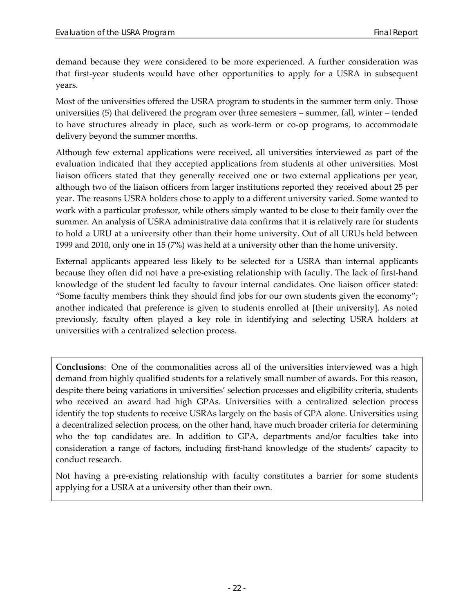demand because they were considered to be more experienced. A further consideration was that first-year students would have other opportunities to apply for a USRA in subsequent years.

Most of the universities offered the USRA program to students in the summer term only. Those universities (5) that delivered the program over three semesters – summer, fall, winter – tended to have structures already in place, such as work-term or co-op programs, to accommodate delivery beyond the summer months.

Although few external applications were received, all universities interviewed as part of the evaluation indicated that they accepted applications from students at other universities. Most liaison officers stated that they generally received one or two external applications per year, although two of the liaison officers from larger institutions reported they received about 25 per year. The reasons USRA holders chose to apply to a different university varied. Some wanted to work with a particular professor, while others simply wanted to be close to their family over the summer. An analysis of USRA administrative data confirms that it is relatively rare for students to hold a URU at a university other than their home university. Out of all URUs held between 1999 and 2010, only one in 15 (7%) was held at a university other than the home university.

External applicants appeared less likely to be selected for a USRA than internal applicants because they often did not have a pre-existing relationship with faculty. The lack of first-hand knowledge of the student led faculty to favour internal candidates. One liaison officer stated: "Some faculty members think they should find jobs for our own students given the economy"; another indicated that preference is given to students enrolled at [their university]. As noted previously, faculty often played a key role in identifying and selecting USRA holders at universities with a centralized selection process.

**Conclusions**: One of the commonalities across all of the universities interviewed was a high demand from highly qualified students for a relatively small number of awards. For this reason, despite there being variations in universities' selection processes and eligibility criteria, students who received an award had high GPAs. Universities with a centralized selection process identify the top students to receive USRAs largely on the basis of GPA alone. Universities using a decentralized selection process, on the other hand, have much broader criteria for determining who the top candidates are. In addition to GPA, departments and/or faculties take into consideration a range of factors, including first-hand knowledge of the students' capacity to conduct research.

Not having a pre-existing relationship with faculty constitutes a barrier for some students applying for a USRA at a university other than their own.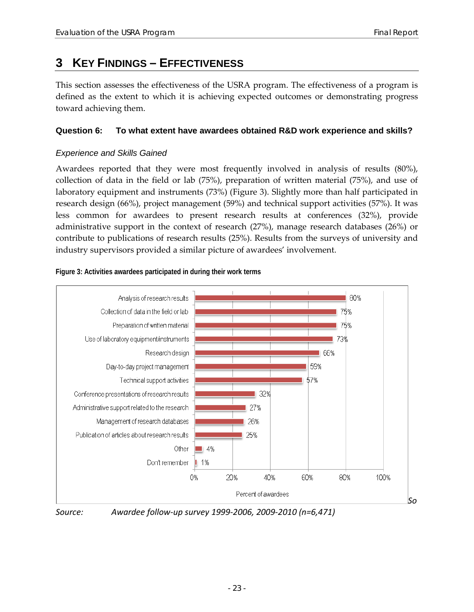## <span id="page-30-0"></span>**3 KEY FINDINGS – EFFECTIVENESS**

This section assesses the effectiveness of the USRA program. The effectiveness of a program is defined as the extent to which it is achieving expected outcomes or demonstrating progress toward achieving them.

#### <span id="page-30-1"></span>**Question 6: To what extent have awardees obtained R&D work experience and skills?**

#### *Experience and Skills Gained*

Awardees reported that they were most frequently involved in analysis of results (80%), collection of data in the field or lab (75%), preparation of written material (75%), and use of laboratory equipment and instruments (73%) [\(Figure 3\)](#page-30-2). Slightly more than half participated in research design (66%), project management (59%) and technical support activities (57%). It was less common for awardees to present research results at conferences (32%), provide administrative support in the context of research (27%), manage research databases (26%) or contribute to publications of research results (25%). Results from the surveys of university and industry supervisors provided a similar picture of awardees' involvement.

#### <span id="page-30-2"></span>**Figure 3: Activities awardees participated in during their work terms**



*Source: Awardee follow-up survey 1999-2006, 2009-2010 (n=6,471)*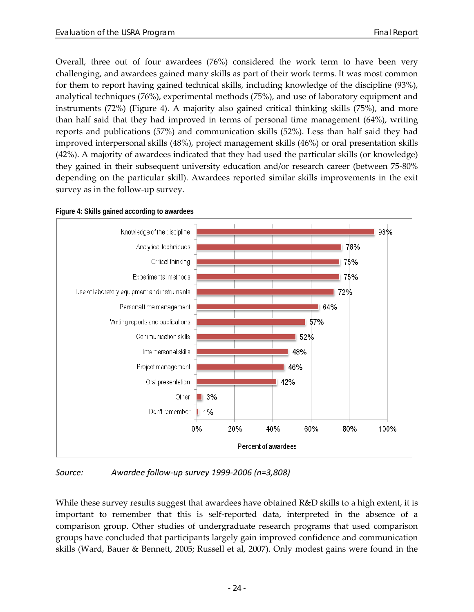Overall, three out of four awardees (76%) considered the work term to have been very challenging, and awardees gained many skills as part of their work terms. It was most common for them to report having gained technical skills, including knowledge of the discipline (93%), analytical techniques (76%), experimental methods (75%), and use of laboratory equipment and instruments (72%) [\(Figure 4\)](#page-31-0). A majority also gained critical thinking skills (75%), and more than half said that they had improved in terms of personal time management (64%), writing reports and publications (57%) and communication skills (52%). Less than half said they had improved interpersonal skills (48%), project management skills (46%) or oral presentation skills (42%). A majority of awardees indicated that they had used the particular skills (or knowledge) they gained in their subsequent university education and/or research career (between 75-80% depending on the particular skill). Awardees reported similar skills improvements in the exit survey as in the follow-up survey.



<span id="page-31-0"></span>**Figure 4: Skills gained according to awardees**

*Source: Awardee follow-up survey 1999-2006 (n=3,808)*

While these survey results suggest that awardees have obtained R&D skills to a high extent, it is important to remember that this is self-reported data, interpreted in the absence of a comparison group. Other studies of undergraduate research programs that used comparison groups have concluded that participants largely gain improved confidence and communication skills (Ward, Bauer & Bennett, 2005; Russell et al, 2007). Only modest gains were found in the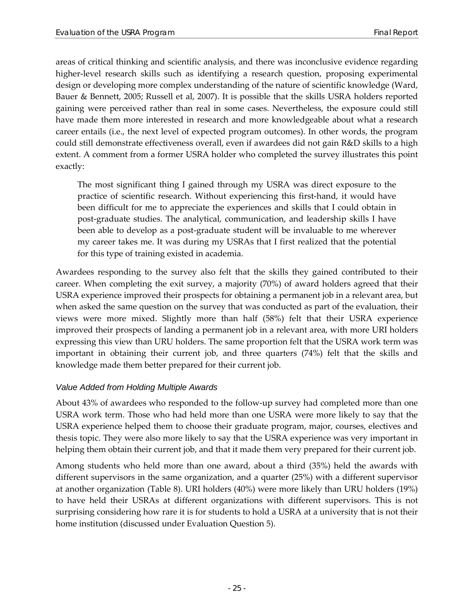areas of critical thinking and scientific analysis, and there was inconclusive evidence regarding higher-level research skills such as identifying a research question, proposing experimental design or developing more complex understanding of the nature of scientific knowledge (Ward, Bauer & Bennett, 2005; Russell et al, 2007). It is possible that the skills USRA holders reported gaining were perceived rather than real in some cases. Nevertheless, the exposure could still have made them more interested in research and more knowledgeable about what a research career entails (i.e., the next level of expected program outcomes). In other words, the program could still demonstrate effectiveness overall, even if awardees did not gain R&D skills to a high extent. A comment from a former USRA holder who completed the survey illustrates this point exactly:

The most significant thing I gained through my USRA was direct exposure to the practice of scientific research. Without experiencing this first-hand, it would have been difficult for me to appreciate the experiences and skills that I could obtain in post-graduate studies. The analytical, communication, and leadership skills I have been able to develop as a post-graduate student will be invaluable to me wherever my career takes me. It was during my USRAs that I first realized that the potential for this type of training existed in academia.

Awardees responding to the survey also felt that the skills they gained contributed to their career. When completing the exit survey, a majority (70%) of award holders agreed that their USRA experience improved their prospects for obtaining a permanent job in a relevant area, but when asked the same question on the survey that was conducted as part of the evaluation, their views were more mixed. Slightly more than half (58%) felt that their USRA experience improved their prospects of landing a permanent job in a relevant area, with more URI holders expressing this view than URU holders. The same proportion felt that the USRA work term was important in obtaining their current job, and three quarters (74%) felt that the skills and knowledge made them better prepared for their current job.

#### *Value Added from Holding Multiple Awards*

About 43% of awardees who responded to the follow-up survey had completed more than one USRA work term. Those who had held more than one USRA were more likely to say that the USRA experience helped them to choose their graduate program, major, courses, electives and thesis topic. They were also more likely to say that the USRA experience was very important in helping them obtain their current job, and that it made them very prepared for their current job.

Among students who held more than one award, about a third (35%) held the awards with different supervisors in the same organization, and a quarter (25%) with a different supervisor at another organization [\(Table 8\)](#page-33-0). URI holders (40%) were more likely than URU holders (19%) to have held their USRAs at different organizations with different supervisors. This is not surprising considering how rare it is for students to hold a USRA at a university that is not their home institution (discussed under Evaluation Question 5).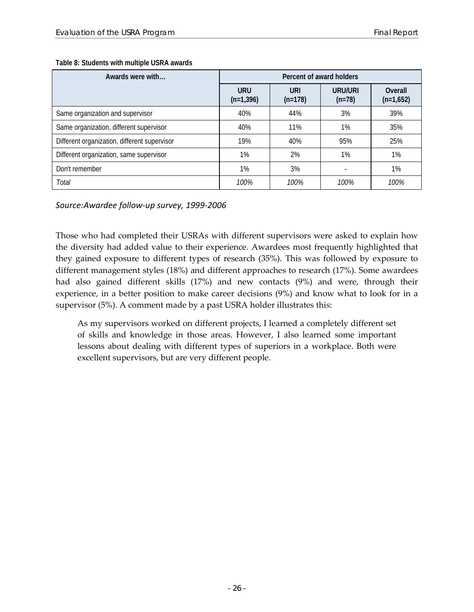| Awards were with                             | Percent of award holders  |                  |                     |                        |  |
|----------------------------------------------|---------------------------|------------------|---------------------|------------------------|--|
|                                              | <b>URU</b><br>$(n=1,396)$ | URI<br>$(n=178)$ | URU/URI<br>$(n=78)$ | Overall<br>$(n=1,652)$ |  |
| Same organization and supervisor             | 40%                       | 44%              | 3%                  | 39%                    |  |
| Same organization, different supervisor      | 40%                       | 11%              | $1\%$               | 35%                    |  |
| Different organization, different supervisor | 19%                       | 40%              | 95%                 | 25%                    |  |
| Different organization, same supervisor      | 1%                        | 2%               | 1%                  | 1%                     |  |
| Don't remember                               | $1\%$                     | 3%               |                     | 1%                     |  |
| Total                                        | 100%                      | 100%             | 100%                | 100%                   |  |

<span id="page-33-0"></span>**Table 8: Students with multiple USRA awards**

*Source:Awardee follow-up survey, 1999-2006*

Those who had completed their USRAs with different supervisors were asked to explain how the diversity had added value to their experience. Awardees most frequently highlighted that they gained exposure to different types of research (35%). This was followed by exposure to different management styles (18%) and different approaches to research (17%). Some awardees had also gained different skills (17%) and new contacts (9%) and were, through their experience, in a better position to make career decisions (9%) and know what to look for in a supervisor (5%). A comment made by a past USRA holder illustrates this:

As my supervisors worked on different projects, I learned a completely different set of skills and knowledge in those areas. However, I also learned some important lessons about dealing with different types of superiors in a workplace. Both were excellent supervisors, but are very different people.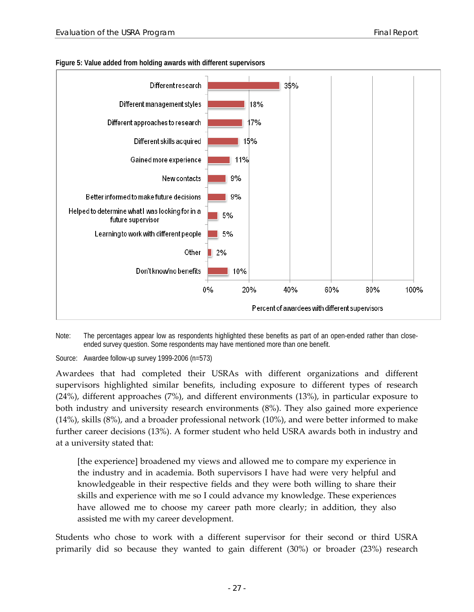

#### <span id="page-34-0"></span>**Figure 5: Value added from holding awards with different supervisors**



Source: Awardee follow-up survey 1999-2006 (n=573)

Awardees that had completed their USRAs with different organizations and different supervisors highlighted similar benefits, including exposure to different types of research (24%), different approaches (7%), and different environments (13%), in particular exposure to both industry and university research environments (8%). They also gained more experience (14%), skills (8%), and a broader professional network (10%), and were better informed to make further career decisions (13%). A former student who held USRA awards both in industry and at a university stated that:

[the experience] broadened my views and allowed me to compare my experience in the industry and in academia. Both supervisors I have had were very helpful and knowledgeable in their respective fields and they were both willing to share their skills and experience with me so I could advance my knowledge. These experiences have allowed me to choose my career path more clearly; in addition, they also assisted me with my career development.

Students who chose to work with a different supervisor for their second or third USRA primarily did so because they wanted to gain different (30%) or broader (23%) research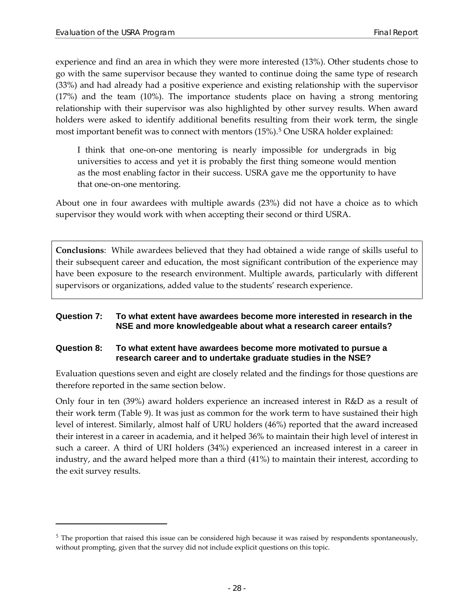$\overline{a}$ 

experience and find an area in which they were more interested (13%). Other students chose to go with the same supervisor because they wanted to continue doing the same type of research (33%) and had already had a positive experience and existing relationship with the supervisor (17%) and the team (10%). The importance students place on having a strong mentoring relationship with their supervisor was also highlighted by other survey results. When award holders were asked to identify additional benefits resulting from their work term, the single most important benefit was to connect with mentors (15%).[5](#page-35-2) One USRA holder explained:

I think that one-on-one mentoring is nearly impossible for undergrads in big universities to access and yet it is probably the first thing someone would mention as the most enabling factor in their success. USRA gave me the opportunity to have that one-on-one mentoring.

About one in four awardees with multiple awards (23%) did not have a choice as to which supervisor they would work with when accepting their second or third USRA.

**Conclusions**: While awardees believed that they had obtained a wide range of skills useful to their subsequent career and education, the most significant contribution of the experience may have been exposure to the research environment. Multiple awards, particularly with different supervisors or organizations, added value to the students' research experience.

#### <span id="page-35-0"></span>**Question 7: To what extent have awardees become more interested in research in the NSE and more knowledgeable about what a research career entails?**

#### <span id="page-35-1"></span>**Question 8: To what extent have awardees become more motivated to pursue a research career and to undertake graduate studies in the NSE?**

Evaluation questions seven and eight are closely related and the findings for those questions are therefore reported in the same section below.

Only four in ten (39%) award holders experience an increased interest in R&D as a result of their work term [\(Table 9\)](#page-36-0). It was just as common for the work term to have sustained their high level of interest. Similarly, almost half of URU holders (46%) reported that the award increased their interest in a career in academia, and it helped 36% to maintain their high level of interest in such a career. A third of URI holders (34%) experienced an increased interest in a career in industry, and the award helped more than a third (41%) to maintain their interest, according to the exit survey results.

<span id="page-35-2"></span> $5$  The proportion that raised this issue can be considered high because it was raised by respondents spontaneously, without prompting, given that the survey did not include explicit questions on this topic.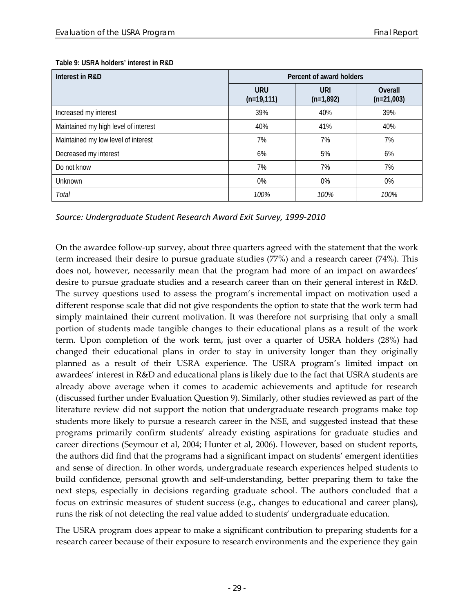| Interest in R&D                      | Percent of award holders   |                           |                         |  |
|--------------------------------------|----------------------------|---------------------------|-------------------------|--|
|                                      | <b>URU</b><br>$(n=19,111)$ | <b>URI</b><br>$(n=1,892)$ | Overall<br>$(n=21,003)$ |  |
| Increased my interest                | 39%                        | 40%                       | 39%                     |  |
| Maintained my high level of interest | 40%                        | 41%                       | 40%                     |  |
| Maintained my low level of interest  | 7%                         | 7%                        | 7%                      |  |
| Decreased my interest                | 6%                         | 5%                        | 6%                      |  |
| Do not know                          | 7%                         | 7%                        | 7%                      |  |
| Unknown                              | 0%                         | 0%                        | 0%                      |  |
| Total                                | 100%                       | 100%                      | 100%                    |  |

#### <span id="page-36-0"></span>**Table 9: USRA holders' interest in R&D**

*Source: Undergraduate Student Research Award Exit Survey, 1999-2010*

On the awardee follow-up survey, about three quarters agreed with the statement that the work term increased their desire to pursue graduate studies (77%) and a research career (74%). This does not, however, necessarily mean that the program had more of an impact on awardees' desire to pursue graduate studies and a research career than on their general interest in R&D. The survey questions used to assess the program's incremental impact on motivation used a different response scale that did not give respondents the option to state that the work term had simply maintained their current motivation. It was therefore not surprising that only a small portion of students made tangible changes to their educational plans as a result of the work term. Upon completion of the work term, just over a quarter of USRA holders (28%) had changed their educational plans in order to stay in university longer than they originally planned as a result of their USRA experience. The USRA program's limited impact on awardees' interest in R&D and educational plans is likely due to the fact that USRA students are already above average when it comes to academic achievements and aptitude for research (discussed further under Evaluation Question 9). Similarly, other studies reviewed as part of the literature review did not support the notion that undergraduate research programs make top students more likely to pursue a research career in the NSE, and suggested instead that these programs primarily confirm students' already existing aspirations for graduate studies and career directions (Seymour et al, 2004; Hunter et al, 2006). However, based on student reports, the authors did find that the programs had a significant impact on students' emergent identities and sense of direction. In other words, undergraduate research experiences helped students to build confidence, personal growth and self-understanding, better preparing them to take the next steps, especially in decisions regarding graduate school. The authors concluded that a focus on extrinsic measures of student success (e.g., changes to educational and career plans), runs the risk of not detecting the real value added to students' undergraduate education.

The USRA program does appear to make a significant contribution to preparing students for a research career because of their exposure to research environments and the experience they gain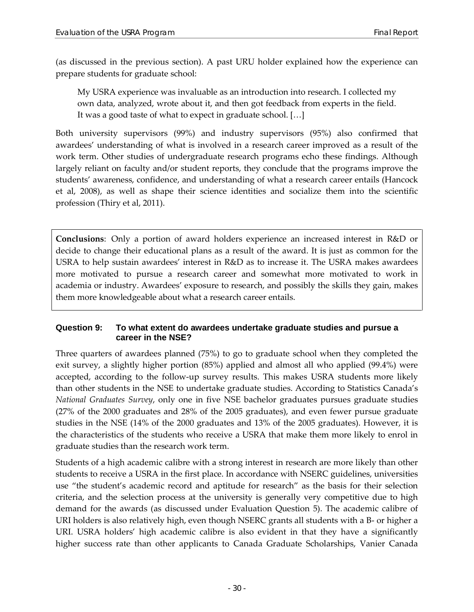(as discussed in the previous section). A past URU holder explained how the experience can prepare students for graduate school:

My USRA experience was invaluable as an introduction into research. I collected my own data, analyzed, wrote about it, and then got feedback from experts in the field. It was a good taste of what to expect in graduate school. […]

Both university supervisors (99%) and industry supervisors (95%) also confirmed that awardees' understanding of what is involved in a research career improved as a result of the work term. Other studies of undergraduate research programs echo these findings. Although largely reliant on faculty and/or student reports, they conclude that the programs improve the students' awareness, confidence, and understanding of what a research career entails (Hancock et al, 2008), as well as shape their science identities and socialize them into the scientific profession (Thiry et al, 2011).

**Conclusions**: Only a portion of award holders experience an increased interest in R&D or decide to change their educational plans as a result of the award. It is just as common for the USRA to help sustain awardees' interest in R&D as to increase it. The USRA makes awardees more motivated to pursue a research career and somewhat more motivated to work in academia or industry. Awardees' exposure to research, and possibly the skills they gain, makes them more knowledgeable about what a research career entails.

#### <span id="page-37-0"></span>**Question 9: To what extent do awardees undertake graduate studies and pursue a career in the NSE?**

Three quarters of awardees planned (75%) to go to graduate school when they completed the exit survey, a slightly higher portion (85%) applied and almost all who applied (99.4%) were accepted, according to the follow-up survey results. This makes USRA students more likely than other students in the NSE to undertake graduate studies. According to Statistics Canada's *National Graduates Survey*, only one in five NSE bachelor graduates pursues graduate studies (27% of the 2000 graduates and 28% of the 2005 graduates), and even fewer pursue graduate studies in the NSE (14% of the 2000 graduates and 13% of the 2005 graduates). However, it is the characteristics of the students who receive a USRA that make them more likely to enrol in graduate studies than the research work term.

Students of a high academic calibre with a strong interest in research are more likely than other students to receive a USRA in the first place. In accordance with NSERC guidelines, universities use "the student's academic record and aptitude for research" as the basis for their selection criteria, and the selection process at the university is generally very competitive due to high demand for the awards (as discussed under Evaluation Question 5). The academic calibre of URI holders is also relatively high, even though NSERC grants all students with a B- or higher a URI. USRA holders' high academic calibre is also evident in that they have a significantly higher success rate than other applicants to Canada Graduate Scholarships, Vanier Canada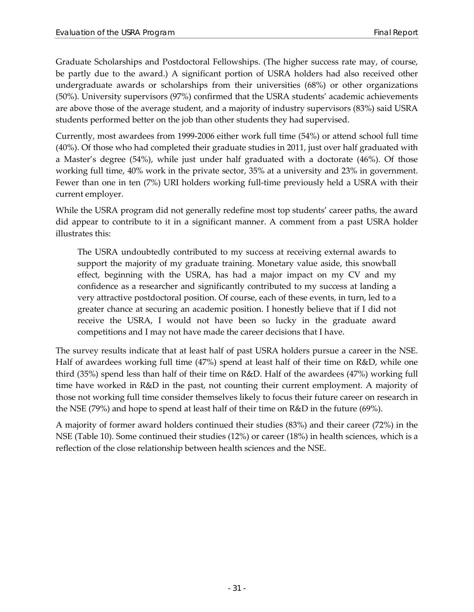Graduate Scholarships and Postdoctoral Fellowships. (The higher success rate may, of course, be partly due to the award.) A significant portion of USRA holders had also received other undergraduate awards or scholarships from their universities (68%) or other organizations (50%). University supervisors (97%) confirmed that the USRA students' academic achievements are above those of the average student, and a majority of industry supervisors (83%) said USRA students performed better on the job than other students they had supervised.

Currently, most awardees from 1999-2006 either work full time (54%) or attend school full time (40%). Of those who had completed their graduate studies in 2011, just over half graduated with a Master's degree (54%), while just under half graduated with a doctorate (46%). Of those working full time, 40% work in the private sector, 35% at a university and 23% in government. Fewer than one in ten (7%) URI holders working full-time previously held a USRA with their current employer.

While the USRA program did not generally redefine most top students' career paths, the award did appear to contribute to it in a significant manner. A comment from a past USRA holder illustrates this:

The USRA undoubtedly contributed to my success at receiving external awards to support the majority of my graduate training. Monetary value aside, this snowball effect, beginning with the USRA, has had a major impact on my CV and my confidence as a researcher and significantly contributed to my success at landing a very attractive postdoctoral position. Of course, each of these events, in turn, led to a greater chance at securing an academic position. I honestly believe that if I did not receive the USRA, I would not have been so lucky in the graduate award competitions and I may not have made the career decisions that I have.

The survey results indicate that at least half of past USRA holders pursue a career in the NSE. Half of awardees working full time (47%) spend at least half of their time on R&D, while one third (35%) spend less than half of their time on R&D. Half of the awardees (47%) working full time have worked in R&D in the past, not counting their current employment. A majority of those not working full time consider themselves likely to focus their future career on research in the NSE (79%) and hope to spend at least half of their time on R&D in the future (69%).

A majority of former award holders continued their studies (83%) and their career (72%) in the NSE [\(Table 10\)](#page-39-1). Some continued their studies (12%) or career (18%) in health sciences, which is a reflection of the close relationship between health sciences and the NSE.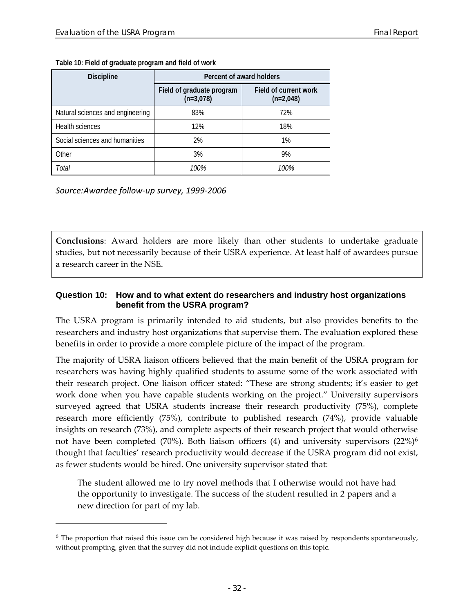| <b>Discipline</b>                | Percent of award holders                 |                                      |  |  |
|----------------------------------|------------------------------------------|--------------------------------------|--|--|
|                                  | Field of graduate program<br>$(n=3,078)$ | Field of current work<br>$(n=2,048)$ |  |  |
| Natural sciences and engineering | 83%                                      | 72%                                  |  |  |
| Health sciences                  | 12%                                      | 18%                                  |  |  |
| Social sciences and humanities   | 2%                                       | 1%                                   |  |  |
| Other                            | 3%                                       | 9%                                   |  |  |
| Total                            | 100%                                     | 100%                                 |  |  |

<span id="page-39-1"></span>**Table 10: Field of graduate program and field of work**

*Source:Awardee follow-up survey, 1999-2006*

 $\overline{a}$ 

**Conclusions**: Award holders are more likely than other students to undertake graduate studies, but not necessarily because of their USRA experience. At least half of awardees pursue a research career in the NSE.

#### <span id="page-39-0"></span>**Question 10: How and to what extent do researchers and industry host organizations benefit from the USRA program?**

The USRA program is primarily intended to aid students, but also provides benefits to the researchers and industry host organizations that supervise them. The evaluation explored these benefits in order to provide a more complete picture of the impact of the program.

The majority of USRA liaison officers believed that the main benefit of the USRA program for researchers was having highly qualified students to assume some of the work associated with their research project. One liaison officer stated: "These are strong students; it's easier to get work done when you have capable students working on the project." University supervisors surveyed agreed that USRA students increase their research productivity (75%), complete research more efficiently (75%), contribute to published research (74%), provide valuable insights on research (73%), and complete aspects of their research project that would otherwise not have been completed (70%). Both liaison officers (4) and university supervisors (22%)[6](#page-39-2) thought that faculties' research productivity would decrease if the USRA program did not exist, as fewer students would be hired. One university supervisor stated that:

The student allowed me to try novel methods that I otherwise would not have had the opportunity to investigate. The success of the student resulted in 2 papers and a new direction for part of my lab.

<span id="page-39-2"></span> $6$  The proportion that raised this issue can be considered high because it was raised by respondents spontaneously, without prompting, given that the survey did not include explicit questions on this topic.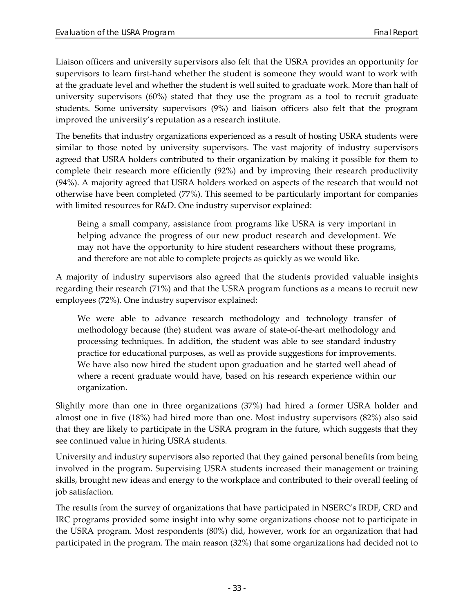Liaison officers and university supervisors also felt that the USRA provides an opportunity for supervisors to learn first-hand whether the student is someone they would want to work with at the graduate level and whether the student is well suited to graduate work. More than half of university supervisors (60%) stated that they use the program as a tool to recruit graduate students. Some university supervisors (9%) and liaison officers also felt that the program improved the university's reputation as a research institute.

The benefits that industry organizations experienced as a result of hosting USRA students were similar to those noted by university supervisors. The vast majority of industry supervisors agreed that USRA holders contributed to their organization by making it possible for them to complete their research more efficiently (92%) and by improving their research productivity (94%). A majority agreed that USRA holders worked on aspects of the research that would not otherwise have been completed (77%). This seemed to be particularly important for companies with limited resources for R&D. One industry supervisor explained:

Being a small company, assistance from programs like USRA is very important in helping advance the progress of our new product research and development. We may not have the opportunity to hire student researchers without these programs, and therefore are not able to complete projects as quickly as we would like.

A majority of industry supervisors also agreed that the students provided valuable insights regarding their research (71%) and that the USRA program functions as a means to recruit new employees (72%). One industry supervisor explained:

We were able to advance research methodology and technology transfer of methodology because (the) student was aware of state-of-the-art methodology and processing techniques. In addition, the student was able to see standard industry practice for educational purposes, as well as provide suggestions for improvements. We have also now hired the student upon graduation and he started well ahead of where a recent graduate would have, based on his research experience within our organization.

Slightly more than one in three organizations (37%) had hired a former USRA holder and almost one in five (18%) had hired more than one. Most industry supervisors (82%) also said that they are likely to participate in the USRA program in the future, which suggests that they see continued value in hiring USRA students.

University and industry supervisors also reported that they gained personal benefits from being involved in the program. Supervising USRA students increased their management or training skills, brought new ideas and energy to the workplace and contributed to their overall feeling of job satisfaction.

The results from the survey of organizations that have participated in NSERC's IRDF, CRD and IRC programs provided some insight into why some organizations choose not to participate in the USRA program. Most respondents (80%) did, however, work for an organization that had participated in the program. The main reason (32%) that some organizations had decided not to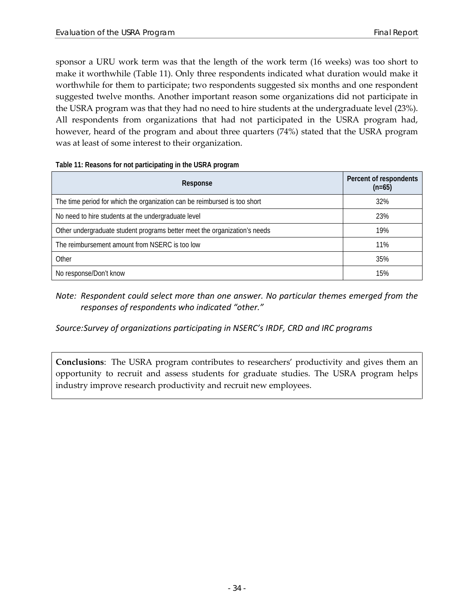sponsor a URU work term was that the length of the work term (16 weeks) was too short to make it worthwhile [\(Table 11\)](#page-41-0). Only three respondents indicated what duration would make it worthwhile for them to participate; two respondents suggested six months and one respondent suggested twelve months. Another important reason some organizations did not participate in the USRA program was that they had no need to hire students at the undergraduate level (23%). All respondents from organizations that had not participated in the USRA program had, however, heard of the program and about three quarters (74%) stated that the USRA program was at least of some interest to their organization.

<span id="page-41-0"></span>

| Table 11: Reasons for not participating in the USRA program |  |  |
|-------------------------------------------------------------|--|--|
|                                                             |  |  |

| Response                                                                  | Percent of respondents<br>$(n=65)$ |  |  |
|---------------------------------------------------------------------------|------------------------------------|--|--|
| The time period for which the organization can be reimbursed is too short | 32%                                |  |  |
| No need to hire students at the undergraduate level                       | 23%                                |  |  |
| Other undergraduate student programs better meet the organization's needs | 19%                                |  |  |
| The reimbursement amount from NSERC is too low                            | 11%                                |  |  |
| Other                                                                     | 35%                                |  |  |
| No response/Don't know                                                    | 15%                                |  |  |

*Note: Respondent could select more than one answer. No particular themes emerged from the responses of respondents who indicated "other."* 

*Source:Survey of organizations participating in NSERC's IRDF, CRD and IRC programs*

**Conclusions**: The USRA program contributes to researchers' productivity and gives them an opportunity to recruit and assess students for graduate studies. The USRA program helps industry improve research productivity and recruit new employees.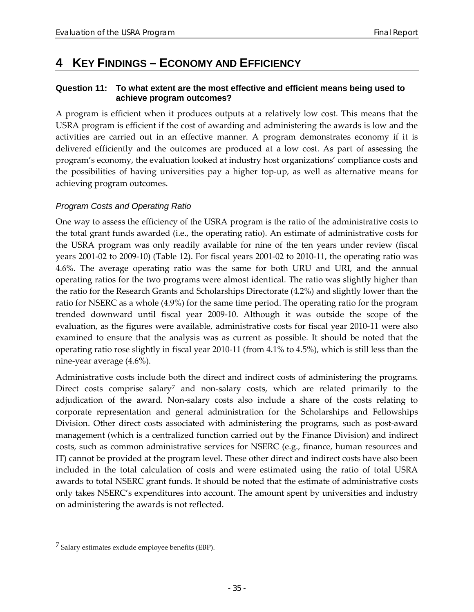## <span id="page-42-0"></span>**4 KEY FINDINGS – ECONOMY AND EFFICIENCY**

#### <span id="page-42-1"></span>**Question 11: To what extent are the most effective and efficient means being used to achieve program outcomes?**

A program is efficient when it produces outputs at a relatively low cost. This means that the USRA program is efficient if the cost of awarding and administering the awards is low and the activities are carried out in an effective manner. A program demonstrates economy if it is delivered efficiently and the outcomes are produced at a low cost. As part of assessing the program's economy, the evaluation looked at industry host organizations' compliance costs and the possibilities of having universities pay a higher top-up, as well as alternative means for achieving program outcomes.

#### *Program Costs and Operating Ratio*

One way to assess the efficiency of the USRA program is the ratio of the administrative costs to the total grant funds awarded (i.e., the operating ratio). An estimate of administrative costs for the USRA program was only readily available for nine of the ten years under review (fiscal years 2001-02 to 2009-10) [\(Table 12\)](#page-43-0). For fiscal years 2001-02 to 2010-11, the operating ratio was 4.6%. The average operating ratio was the same for both URU and URI, and the annual operating ratios for the two programs were almost identical. The ratio was slightly higher than the ratio for the Research Grants and Scholarships Directorate (4.2%) and slightly lower than the ratio for NSERC as a whole (4.9%) for the same time period. The operating ratio for the program trended downward until fiscal year 2009-10. Although it was outside the scope of the evaluation, as the figures were available, administrative costs for fiscal year 2010-11 were also examined to ensure that the analysis was as current as possible. It should be noted that the operating ratio rose slightly in fiscal year 2010-11 (from 4.1% to 4.5%), which is still less than the nine-year average (4.6%).

Administrative costs include both the direct and indirect costs of administering the programs. Direct costs comprise salary<sup>[7](#page-42-2)</sup> and non-salary costs, which are related primarily to the adjudication of the award. Non-salary costs also include a share of the costs relating to corporate representation and general administration for the Scholarships and Fellowships Division. Other direct costs associated with administering the programs, such as post-award management (which is a centralized function carried out by the Finance Division) and indirect costs, such as common administrative services for NSERC (e.g., finance, human resources and IT) cannot be provided at the program level. These other direct and indirect costs have also been included in the total calculation of costs and were estimated using the ratio of total USRA awards to total NSERC grant funds. It should be noted that the estimate of administrative costs only takes NSERC's expenditures into account. The amount spent by universities and industry on administering the awards is not reflected.

 $\overline{a}$ 

<span id="page-42-2"></span><sup>7</sup> Salary estimates exclude employee benefits (EBP).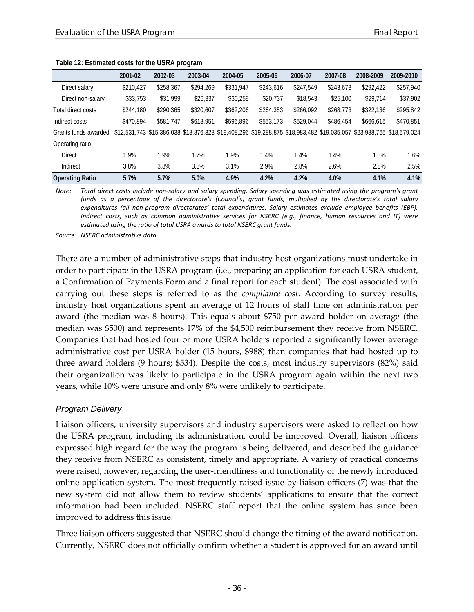|                        | 2001-02   | 2002-03   | 2003-04   | 2004-05   | 2005-06   | 2006-07   | 2007-08   | 2008-2009 | 2009-2010                                                                                                            |
|------------------------|-----------|-----------|-----------|-----------|-----------|-----------|-----------|-----------|----------------------------------------------------------------------------------------------------------------------|
| Direct salary          | \$210,427 | \$258,367 | \$294,269 | \$331,947 | \$243,616 | \$247.549 | \$243,673 | \$292,422 | \$257,940                                                                                                            |
| Direct non-salary      | \$33,753  | \$31,999  | \$26,337  | \$30,259  | \$20,737  | \$18,543  | \$25,100  | \$29,714  | \$37,902                                                                                                             |
| Total direct costs     | \$244,180 | \$290,365 | \$320,607 | \$362,206 | \$264,353 | \$266,092 | \$268,773 | \$322,136 | \$295,842                                                                                                            |
| Indirect costs         | \$470,894 | \$581,747 | \$618,951 | \$596,896 | \$553,173 | \$529,044 | \$486,454 | \$666,615 | \$470,851                                                                                                            |
| Grants funds awarded   |           |           |           |           |           |           |           |           | \$12,531,743 \$15,386,038 \$18,876,328 \$19,408,296 \$19,288,875 \$18,983,482 \$19,035,057 \$23,988,765 \$18,579,024 |
| Operating ratio        |           |           |           |           |           |           |           |           |                                                                                                                      |
| <b>Direct</b>          | 1.9%      | 1.9%      | 1.7%      | 1.9%      | 1.4%      | 1.4%      | 1.4%      | 1.3%      | 1.6%                                                                                                                 |
| Indirect               | 3.8%      | 3.8%      | 3.3%      | 3.1%      | 2.9%      | 2.8%      | 2.6%      | 2.8%      | 2.5%                                                                                                                 |
| <b>Operating Ratio</b> | 5.7%      | 5.7%      | 5.0%      | 4.9%      | 4.2%      | 4.2%      | 4.0%      | 4.1%      | 4.1%                                                                                                                 |

#### <span id="page-43-0"></span>**Table 12: Estimated costs for the USRA program**

*Note: Total direct costs include non-salary and salary spending. Salary spending was estimated using the program's grant funds as a percentage of the directorate's (Council's) grant funds, multiplied by the directorate's total salary expenditures (all non-program directorates' total expenditures. Salary estimates exclude employee benefits (EBP). Indirect costs, such as common administrative services for NSERC (e.g., finance, human resources and IT) were estimated using the ratio of total USRA awards to total NSERC grant funds.*

*Source: NSERC administrative data*

There are a number of administrative steps that industry host organizations must undertake in order to participate in the USRA program (i.e., preparing an application for each USRA student, a Confirmation of Payments Form and a final report for each student). The cost associated with carrying out these steps is referred to as the *compliance cost.* According to survey results, industry host organizations spent an average of 12 hours of staff time on administration per award (the median was 8 hours). This equals about \$750 per award holder on average (the median was \$500) and represents 17% of the \$4,500 reimbursement they receive from NSERC. Companies that had hosted four or more USRA holders reported a significantly lower average administrative cost per USRA holder (15 hours, \$988) than companies that had hosted up to three award holders (9 hours; \$534). Despite the costs, most industry supervisors (82%) said their organization was likely to participate in the USRA program again within the next two years, while 10% were unsure and only 8% were unlikely to participate.

#### *Program Delivery*

Liaison officers, university supervisors and industry supervisors were asked to reflect on how the USRA program, including its administration, could be improved. Overall, liaison officers expressed high regard for the way the program is being delivered, and described the guidance they receive from NSERC as consistent, timely and appropriate. A variety of practical concerns were raised, however, regarding the user-friendliness and functionality of the newly introduced online application system. The most frequently raised issue by liaison officers (7) was that the new system did not allow them to review students' applications to ensure that the correct information had been included. NSERC staff report that the online system has since been improved to address this issue.

Three liaison officers suggested that NSERC should change the timing of the award notification. Currently, NSERC does not officially confirm whether a student is approved for an award until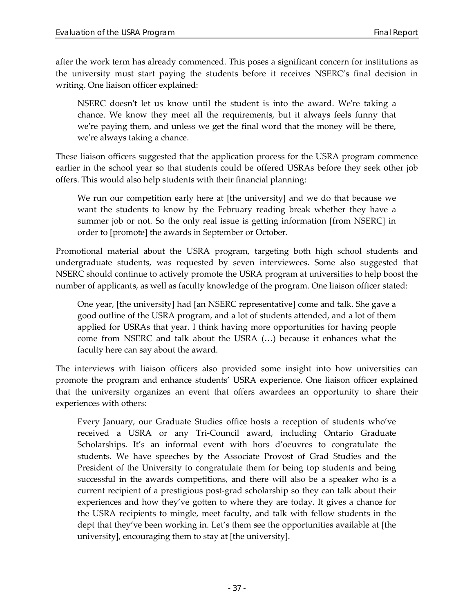after the work term has already commenced. This poses a significant concern for institutions as the university must start paying the students before it receives NSERC's final decision in writing. One liaison officer explained:

NSERC doesn't let us know until the student is into the award. We're taking a chance. We know they meet all the requirements, but it always feels funny that we're paying them, and unless we get the final word that the money will be there, we're always taking a chance.

These liaison officers suggested that the application process for the USRA program commence earlier in the school year so that students could be offered USRAs before they seek other job offers. This would also help students with their financial planning:

We run our competition early here at [the university] and we do that because we want the students to know by the February reading break whether they have a summer job or not. So the only real issue is getting information [from NSERC] in order to [promote] the awards in September or October.

Promotional material about the USRA program, targeting both high school students and undergraduate students, was requested by seven interviewees. Some also suggested that NSERC should continue to actively promote the USRA program at universities to help boost the number of applicants, as well as faculty knowledge of the program. One liaison officer stated:

One year, [the university] had [an NSERC representative] come and talk. She gave a good outline of the USRA program, and a lot of students attended, and a lot of them applied for USRAs that year. I think having more opportunities for having people come from NSERC and talk about the USRA (…) because it enhances what the faculty here can say about the award.

The interviews with liaison officers also provided some insight into how universities can promote the program and enhance students' USRA experience. One liaison officer explained that the university organizes an event that offers awardees an opportunity to share their experiences with others:

Every January, our Graduate Studies office hosts a reception of students who've received a USRA or any Tri-Council award, including Ontario Graduate Scholarships. It's an informal event with hors d'oeuvres to congratulate the students. We have speeches by the Associate Provost of Grad Studies and the President of the University to congratulate them for being top students and being successful in the awards competitions, and there will also be a speaker who is a current recipient of a prestigious post-grad scholarship so they can talk about their experiences and how they've gotten to where they are today. It gives a chance for the USRA recipients to mingle, meet faculty, and talk with fellow students in the dept that they've been working in. Let's them see the opportunities available at [the university], encouraging them to stay at [the university].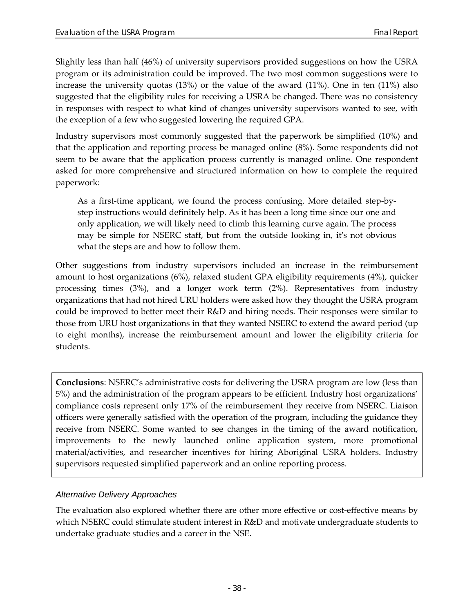Slightly less than half (46%) of university supervisors provided suggestions on how the USRA program or its administration could be improved. The two most common suggestions were to increase the university quotas (13%) or the value of the award (11%). One in ten (11%) also suggested that the eligibility rules for receiving a USRA be changed. There was no consistency in responses with respect to what kind of changes university supervisors wanted to see, with the exception of a few who suggested lowering the required GPA.

Industry supervisors most commonly suggested that the paperwork be simplified (10%) and that the application and reporting process be managed online (8%). Some respondents did not seem to be aware that the application process currently is managed online. One respondent asked for more comprehensive and structured information on how to complete the required paperwork:

As a first-time applicant, we found the process confusing. More detailed step-bystep instructions would definitely help. As it has been a long time since our one and only application, we will likely need to climb this learning curve again. The process may be simple for NSERC staff, but from the outside looking in, it's not obvious what the steps are and how to follow them.

Other suggestions from industry supervisors included an increase in the reimbursement amount to host organizations (6%), relaxed student GPA eligibility requirements (4%), quicker processing times (3%), and a longer work term (2%). Representatives from industry organizations that had not hired URU holders were asked how they thought the USRA program could be improved to better meet their R&D and hiring needs. Their responses were similar to those from URU host organizations in that they wanted NSERC to extend the award period (up to eight months), increase the reimbursement amount and lower the eligibility criteria for students.

**Conclusions**: NSERC's administrative costs for delivering the USRA program are low (less than 5%) and the administration of the program appears to be efficient. Industry host organizations' compliance costs represent only 17% of the reimbursement they receive from NSERC. Liaison officers were generally satisfied with the operation of the program, including the guidance they receive from NSERC. Some wanted to see changes in the timing of the award notification, improvements to the newly launched online application system, more promotional material/activities, and researcher incentives for hiring Aboriginal USRA holders. Industry supervisors requested simplified paperwork and an online reporting process.

#### *Alternative Delivery Approaches*

The evaluation also explored whether there are other more effective or cost-effective means by which NSERC could stimulate student interest in R&D and motivate undergraduate students to undertake graduate studies and a career in the NSE.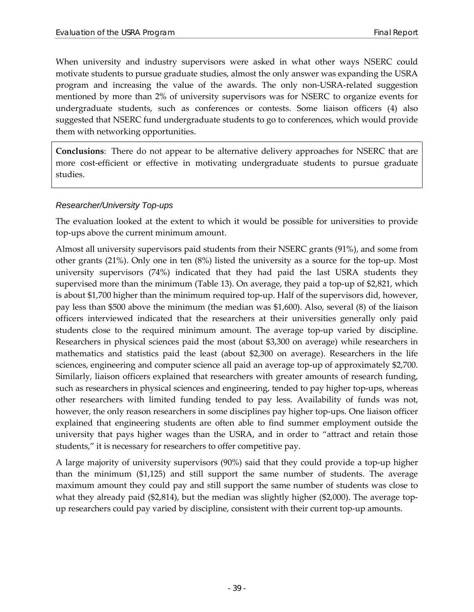When university and industry supervisors were asked in what other ways NSERC could motivate students to pursue graduate studies, almost the only answer was expanding the USRA program and increasing the value of the awards. The only non-USRA-related suggestion mentioned by more than 2% of university supervisors was for NSERC to organize events for undergraduate students, such as conferences or contests. Some liaison officers (4) also suggested that NSERC fund undergraduate students to go to conferences, which would provide them with networking opportunities.

**Conclusions**: There do not appear to be alternative delivery approaches for NSERC that are more cost-efficient or effective in motivating undergraduate students to pursue graduate studies.

#### *Researcher/University Top-ups*

The evaluation looked at the extent to which it would be possible for universities to provide top-ups above the current minimum amount.

Almost all university supervisors paid students from their NSERC grants (91%), and some from other grants (21%). Only one in ten (8%) listed the university as a source for the top-up. Most university supervisors (74%) indicated that they had paid the last USRA students they supervised more than the minimum [\(Table 13\)](#page-47-0). On average, they paid a top-up of \$2,821, which is about \$1,700 higher than the minimum required top-up. Half of the supervisors did, however, pay less than \$500 above the minimum (the median was \$1,600). Also, several (8) of the liaison officers interviewed indicated that the researchers at their universities generally only paid students close to the required minimum amount. The average top-up varied by discipline. Researchers in physical sciences paid the most (about \$3,300 on average) while researchers in mathematics and statistics paid the least (about \$2,300 on average). Researchers in the life sciences, engineering and computer science all paid an average top-up of approximately \$2,700. Similarly, liaison officers explained that researchers with greater amounts of research funding, such as researchers in physical sciences and engineering, tended to pay higher top-ups, whereas other researchers with limited funding tended to pay less. Availability of funds was not, however, the only reason researchers in some disciplines pay higher top-ups. One liaison officer explained that engineering students are often able to find summer employment outside the university that pays higher wages than the USRA, and in order to "attract and retain those students," it is necessary for researchers to offer competitive pay.

A large majority of university supervisors (90%) said that they could provide a top-up higher than the minimum (\$1,125) and still support the same number of students. The average maximum amount they could pay and still support the same number of students was close to what they already paid (\$2,814), but the median was slightly higher (\$2,000). The average topup researchers could pay varied by discipline, consistent with their current top-up amounts.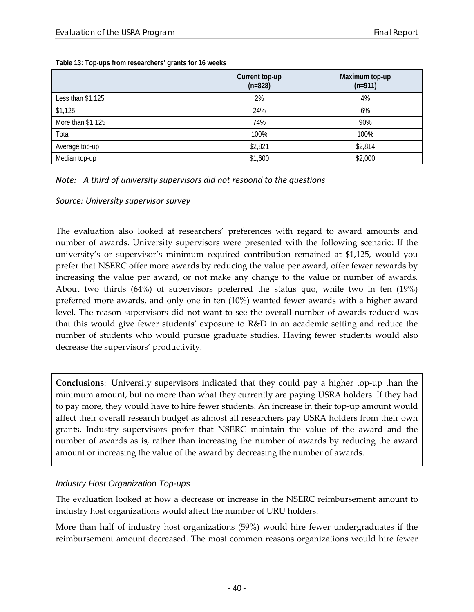|                    | Current top-up<br>$(n=828)$ | Maximum top-up<br>$(n=911)$ |
|--------------------|-----------------------------|-----------------------------|
| Less than $$1,125$ | 2%                          | 4%                          |
| \$1,125            | 24%                         | 6%                          |
| More than \$1,125  | 74%                         | 90%                         |
| Total              | 100%                        | 100%                        |
| Average top-up     | \$2,821                     | \$2,814                     |
| Median top-up      | \$1,600                     | \$2,000                     |

<span id="page-47-0"></span>**Table 13: Top-ups from researchers' grants for 16 weeks**

#### *Note: A third of university supervisors did not respond to the questions*

*Source: University supervisor survey*

The evaluation also looked at researchers' preferences with regard to award amounts and number of awards. University supervisors were presented with the following scenario: If the university's or supervisor's minimum required contribution remained at \$1,125, would you prefer that NSERC offer more awards by reducing the value per award, offer fewer rewards by increasing the value per award, or not make any change to the value or number of awards. About two thirds (64%) of supervisors preferred the status quo, while two in ten (19%) preferred more awards, and only one in ten (10%) wanted fewer awards with a higher award level. The reason supervisors did not want to see the overall number of awards reduced was that this would give fewer students' exposure to R&D in an academic setting and reduce the number of students who would pursue graduate studies. Having fewer students would also decrease the supervisors' productivity.

**Conclusions**: University supervisors indicated that they could pay a higher top-up than the minimum amount, but no more than what they currently are paying USRA holders. If they had to pay more, they would have to hire fewer students. An increase in their top-up amount would affect their overall research budget as almost all researchers pay USRA holders from their own grants. Industry supervisors prefer that NSERC maintain the value of the award and the number of awards as is, rather than increasing the number of awards by reducing the award amount or increasing the value of the award by decreasing the number of awards.

#### *Industry Host Organization Top-ups*

The evaluation looked at how a decrease or increase in the NSERC reimbursement amount to industry host organizations would affect the number of URU holders.

More than half of industry host organizations (59%) would hire fewer undergraduates if the reimbursement amount decreased. The most common reasons organizations would hire fewer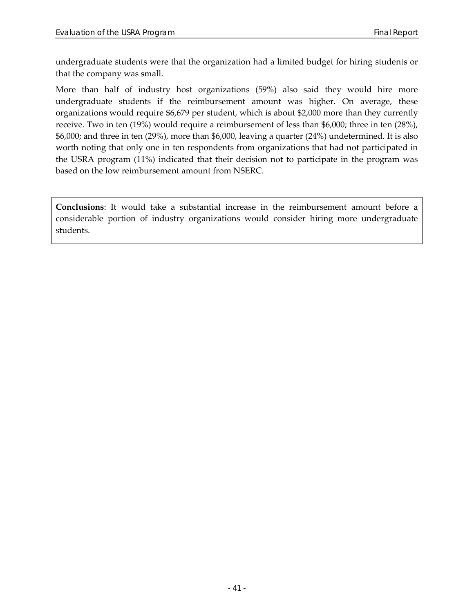undergraduate students were that the organization had a limited budget for hiring students or that the company was small.

More than half of industry host organizations (59%) also said they would hire more undergraduate students if the reimbursement amount was higher. On average, these organizations would require \$6,679 per student, which is about \$2,000 more than they currently receive. Two in ten (19%) would require a reimbursement of less than \$6,000; three in ten (28%), \$6,000; and three in ten (29%), more than \$6,000, leaving a quarter (24%) undetermined. It is also worth noting that only one in ten respondents from organizations that had not participated in the USRA program (11%) indicated that their decision not to participate in the program was based on the low reimbursement amount from NSERC.

**Conclusions**: It would take a substantial increase in the reimbursement amount before a considerable portion of industry organizations would consider hiring more undergraduate students.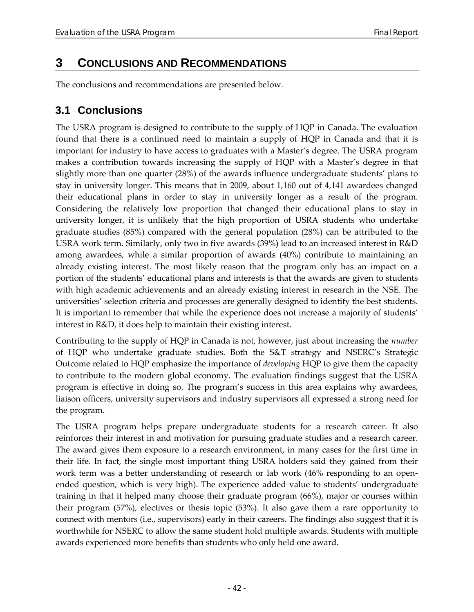## <span id="page-49-0"></span>**3 CONCLUSIONS AND RECOMMENDATIONS**

The conclusions and recommendations are presented below.

### <span id="page-49-1"></span>**3.1 Conclusions**

The USRA program is designed to contribute to the supply of HQP in Canada. The evaluation found that there is a continued need to maintain a supply of HQP in Canada and that it is important for industry to have access to graduates with a Master's degree. The USRA program makes a contribution towards increasing the supply of HQP with a Master's degree in that slightly more than one quarter (28%) of the awards influence undergraduate students' plans to stay in university longer. This means that in 2009, about 1,160 out of 4,141 awardees changed their educational plans in order to stay in university longer as a result of the program. Considering the relatively low proportion that changed their educational plans to stay in university longer, it is unlikely that the high proportion of USRA students who undertake graduate studies (85%) compared with the general population (28%) can be attributed to the USRA work term. Similarly, only two in five awards (39%) lead to an increased interest in R&D among awardees, while a similar proportion of awards (40%) contribute to maintaining an already existing interest. The most likely reason that the program only has an impact on a portion of the students' educational plans and interests is that the awards are given to students with high academic achievements and an already existing interest in research in the NSE. The universities' selection criteria and processes are generally designed to identify the best students. It is important to remember that while the experience does not increase a majority of students' interest in R&D, it does help to maintain their existing interest.

Contributing to the supply of HQP in Canada is not, however, just about increasing the *number* of HQP who undertake graduate studies. Both the S&T strategy and NSERC's Strategic Outcome related to HQP emphasize the importance of *developing* HQP to give them the capacity to contribute to the modern global economy. The evaluation findings suggest that the USRA program is effective in doing so. The program's success in this area explains why awardees, liaison officers, university supervisors and industry supervisors all expressed a strong need for the program.

The USRA program helps prepare undergraduate students for a research career. It also reinforces their interest in and motivation for pursuing graduate studies and a research career. The award gives them exposure to a research environment, in many cases for the first time in their life. In fact, the single most important thing USRA holders said they gained from their work term was a better understanding of research or lab work (46% responding to an openended question, which is very high). The experience added value to students' undergraduate training in that it helped many choose their graduate program (66%), major or courses within their program (57%), electives or thesis topic (53%). It also gave them a rare opportunity to connect with mentors (i.e., supervisors) early in their careers. The findings also suggest that it is worthwhile for NSERC to allow the same student hold multiple awards. Students with multiple awards experienced more benefits than students who only held one award.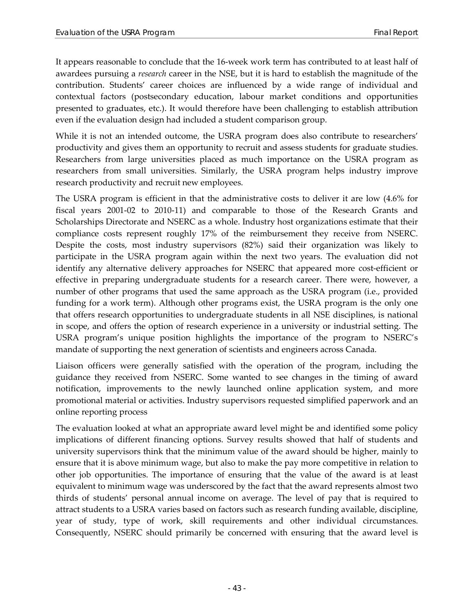It appears reasonable to conclude that the 16-week work term has contributed to at least half of awardees pursuing a *research* career in the NSE, but it is hard to establish the magnitude of the contribution. Students' career choices are influenced by a wide range of individual and contextual factors (postsecondary education, labour market conditions and opportunities presented to graduates, etc.). It would therefore have been challenging to establish attribution even if the evaluation design had included a student comparison group.

While it is not an intended outcome, the USRA program does also contribute to researchers' productivity and gives them an opportunity to recruit and assess students for graduate studies. Researchers from large universities placed as much importance on the USRA program as researchers from small universities. Similarly, the USRA program helps industry improve research productivity and recruit new employees.

The USRA program is efficient in that the administrative costs to deliver it are low (4.6% for fiscal years 2001-02 to 2010-11) and comparable to those of the Research Grants and Scholarships Directorate and NSERC as a whole. Industry host organizations estimate that their compliance costs represent roughly 17% of the reimbursement they receive from NSERC. Despite the costs, most industry supervisors (82%) said their organization was likely to participate in the USRA program again within the next two years. The evaluation did not identify any alternative delivery approaches for NSERC that appeared more cost-efficient or effective in preparing undergraduate students for a research career. There were, however, a number of other programs that used the same approach as the USRA program (i.e., provided funding for a work term). Although other programs exist, the USRA program is the only one that offers research opportunities to undergraduate students in all NSE disciplines, is national in scope, and offers the option of research experience in a university or industrial setting. The USRA program's unique position highlights the importance of the program to NSERC's mandate of supporting the next generation of scientists and engineers across Canada.

Liaison officers were generally satisfied with the operation of the program, including the guidance they received from NSERC. Some wanted to see changes in the timing of award notification, improvements to the newly launched online application system, and more promotional material or activities. Industry supervisors requested simplified paperwork and an online reporting process

The evaluation looked at what an appropriate award level might be and identified some policy implications of different financing options. Survey results showed that half of students and university supervisors think that the minimum value of the award should be higher, mainly to ensure that it is above minimum wage, but also to make the pay more competitive in relation to other job opportunities. The importance of ensuring that the value of the award is at least equivalent to minimum wage was underscored by the fact that the award represents almost two thirds of students' personal annual income on average. The level of pay that is required to attract students to a USRA varies based on factors such as research funding available, discipline, year of study, type of work, skill requirements and other individual circumstances. Consequently, NSERC should primarily be concerned with ensuring that the award level is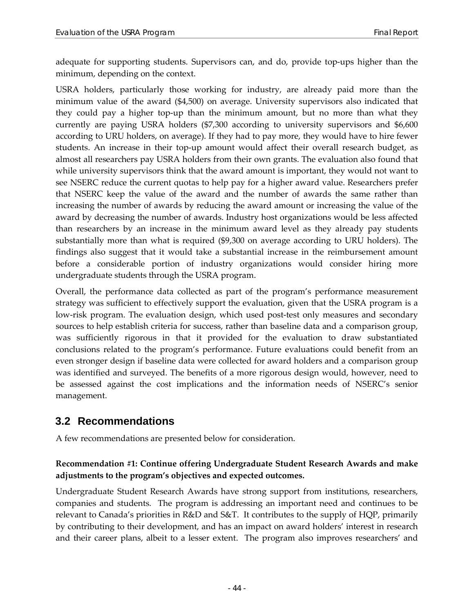adequate for supporting students. Supervisors can, and do, provide top-ups higher than the minimum, depending on the context.

USRA holders, particularly those working for industry, are already paid more than the minimum value of the award (\$4,500) on average. University supervisors also indicated that they could pay a higher top-up than the minimum amount, but no more than what they currently are paying USRA holders (\$7,300 according to university supervisors and \$6,600 according to URU holders, on average). If they had to pay more, they would have to hire fewer students. An increase in their top-up amount would affect their overall research budget, as almost all researchers pay USRA holders from their own grants. The evaluation also found that while university supervisors think that the award amount is important, they would not want to see NSERC reduce the current quotas to help pay for a higher award value. Researchers prefer that NSERC keep the value of the award and the number of awards the same rather than increasing the number of awards by reducing the award amount or increasing the value of the award by decreasing the number of awards. Industry host organizations would be less affected than researchers by an increase in the minimum award level as they already pay students substantially more than what is required (\$9,300 on average according to URU holders). The findings also suggest that it would take a substantial increase in the reimbursement amount before a considerable portion of industry organizations would consider hiring more undergraduate students through the USRA program.

Overall, the performance data collected as part of the program's performance measurement strategy was sufficient to effectively support the evaluation, given that the USRA program is a low-risk program. The evaluation design, which used post-test only measures and secondary sources to help establish criteria for success, rather than baseline data and a comparison group, was sufficiently rigorous in that it provided for the evaluation to draw substantiated conclusions related to the program's performance. Future evaluations could benefit from an even stronger design if baseline data were collected for award holders and a comparison group was identified and surveyed. The benefits of a more rigorous design would, however, need to be assessed against the cost implications and the information needs of NSERC's senior management.

### <span id="page-51-0"></span>**3.2 Recommendations**

A few recommendations are presented below for consideration.

#### **Recommendation #1: Continue offering Undergraduate Student Research Awards and make adjustments to the program's objectives and expected outcomes.**

Undergraduate Student Research Awards have strong support from institutions, researchers, companies and students. The program is addressing an important need and continues to be relevant to Canada's priorities in R&D and S&T. It contributes to the supply of HQP, primarily by contributing to their development, and has an impact on award holders' interest in research and their career plans, albeit to a lesser extent. The program also improves researchers' and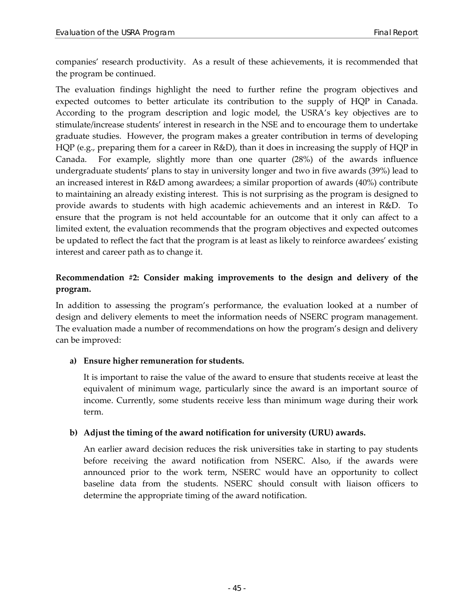companies' research productivity. As a result of these achievements, it is recommended that the program be continued.

The evaluation findings highlight the need to further refine the program objectives and expected outcomes to better articulate its contribution to the supply of HQP in Canada. According to the program description and logic model, the USRA's key objectives are to stimulate/increase students' interest in research in the NSE and to encourage them to undertake graduate studies. However, the program makes a greater contribution in terms of developing HQP (e.g., preparing them for a career in R&D), than it does in increasing the supply of HQP in Canada. For example, slightly more than one quarter (28%) of the awards influence undergraduate students' plans to stay in university longer and two in five awards (39%) lead to an increased interest in R&D among awardees; a similar proportion of awards (40%) contribute to maintaining an already existing interest. This is not surprising as the program is designed to provide awards to students with high academic achievements and an interest in R&D. To ensure that the program is not held accountable for an outcome that it only can affect to a limited extent, the evaluation recommends that the program objectives and expected outcomes be updated to reflect the fact that the program is at least as likely to reinforce awardees' existing interest and career path as to change it.

#### **Recommendation #2: Consider making improvements to the design and delivery of the program.**

In addition to assessing the program's performance, the evaluation looked at a number of design and delivery elements to meet the information needs of NSERC program management. The evaluation made a number of recommendations on how the program's design and delivery can be improved:

#### **a) Ensure higher remuneration for students.**

It is important to raise the value of the award to ensure that students receive at least the equivalent of minimum wage, particularly since the award is an important source of income. Currently, some students receive less than minimum wage during their work term.

#### **b) Adjust the timing of the award notification for university (URU) awards.**

An earlier award decision reduces the risk universities take in starting to pay students before receiving the award notification from NSERC. Also, if the awards were announced prior to the work term, NSERC would have an opportunity to collect baseline data from the students. NSERC should consult with liaison officers to determine the appropriate timing of the award notification.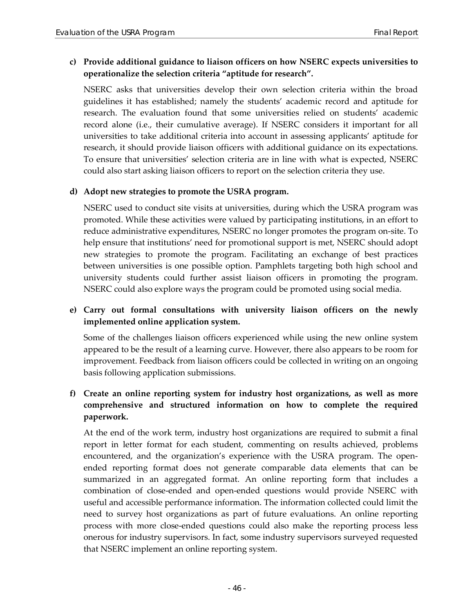#### **c) Provide additional guidance to liaison officers on how NSERC expects universities to operationalize the selection criteria "aptitude for research".**

NSERC asks that universities develop their own selection criteria within the broad guidelines it has established; namely the students' academic record and aptitude for research. The evaluation found that some universities relied on students' academic record alone (i.e., their cumulative average). If NSERC considers it important for all universities to take additional criteria into account in assessing applicants' aptitude for research, it should provide liaison officers with additional guidance on its expectations. To ensure that universities' selection criteria are in line with what is expected, NSERC could also start asking liaison officers to report on the selection criteria they use.

#### **d) Adopt new strategies to promote the USRA program.**

NSERC used to conduct site visits at universities, during which the USRA program was promoted. While these activities were valued by participating institutions, in an effort to reduce administrative expenditures, NSERC no longer promotes the program on-site. To help ensure that institutions' need for promotional support is met, NSERC should adopt new strategies to promote the program. Facilitating an exchange of best practices between universities is one possible option. Pamphlets targeting both high school and university students could further assist liaison officers in promoting the program. NSERC could also explore ways the program could be promoted using social media.

#### **e) Carry out formal consultations with university liaison officers on the newly implemented online application system.**

Some of the challenges liaison officers experienced while using the new online system appeared to be the result of a learning curve. However, there also appears to be room for improvement. Feedback from liaison officers could be collected in writing on an ongoing basis following application submissions.

#### **f) Create an online reporting system for industry host organizations, as well as more comprehensive and structured information on how to complete the required paperwork.**

At the end of the work term, industry host organizations are required to submit a final report in letter format for each student, commenting on results achieved, problems encountered, and the organization's experience with the USRA program. The openended reporting format does not generate comparable data elements that can be summarized in an aggregated format. An online reporting form that includes a combination of close-ended and open-ended questions would provide NSERC with useful and accessible performance information. The information collected could limit the need to survey host organizations as part of future evaluations. An online reporting process with more close-ended questions could also make the reporting process less onerous for industry supervisors. In fact, some industry supervisors surveyed requested that NSERC implement an online reporting system.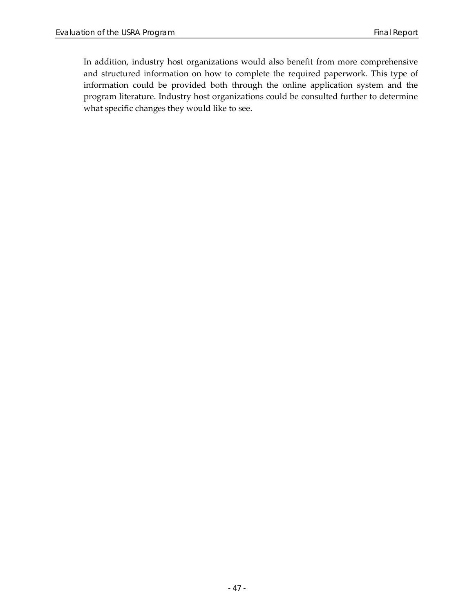In addition, industry host organizations would also benefit from more comprehensive and structured information on how to complete the required paperwork. This type of information could be provided both through the online application system and the program literature. Industry host organizations could be consulted further to determine what specific changes they would like to see.